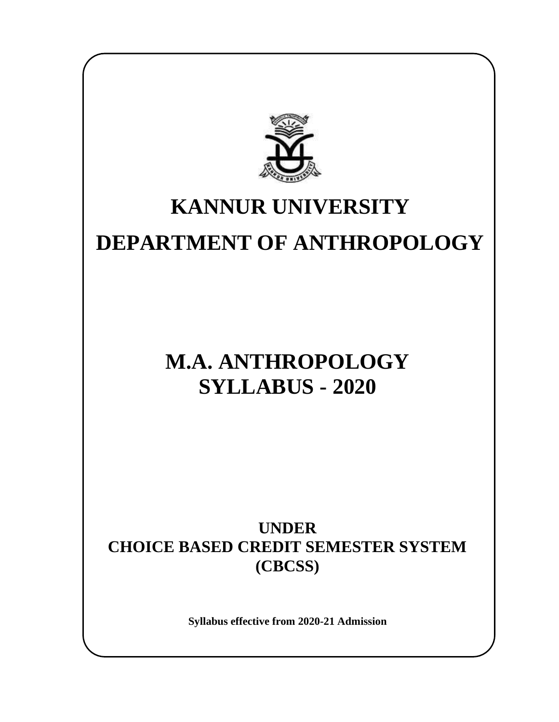

## **KANNUR UNIVERSITY DEPARTMENT OF ANTHROPOLOGY**

## **M.A. ANTHROPOLOGY SYLLABUS - 2020**

**UNDER CHOICE BASED CREDIT SEMESTER SYSTEM (CBCSS)**

**Syllabus effective from 2020-21 Admission**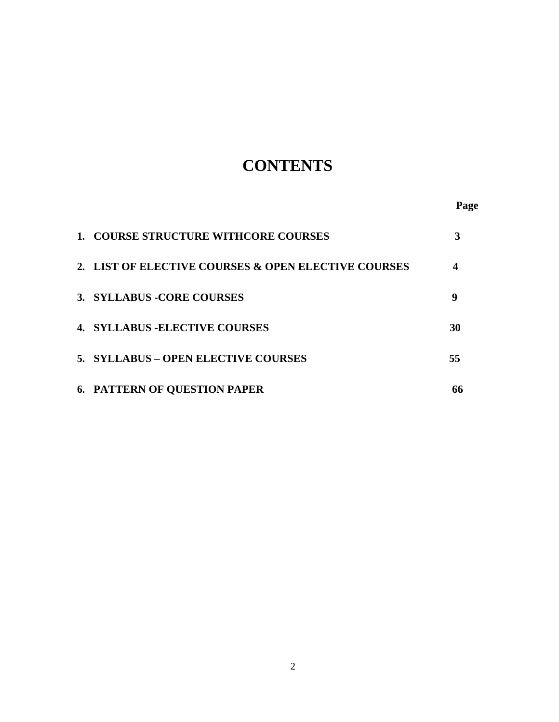## **CONTENTS**

**Page**

| <b>1. COURSE STRUCTURE WITHCORE COURSES</b>         |    |
|-----------------------------------------------------|----|
| 2. LIST OF ELECTIVE COURSES & OPEN ELECTIVE COURSES |    |
| 3. SYLLABUS - CORE COURSES                          | 9  |
| <b>4. SYLLABUS - ELECTIVE COURSES</b>               | 30 |
| 5. SYLLABUS - OPEN ELECTIVE COURSES                 | 55 |
| <b>6. PATTERN OF QUESTION PAPER</b>                 |    |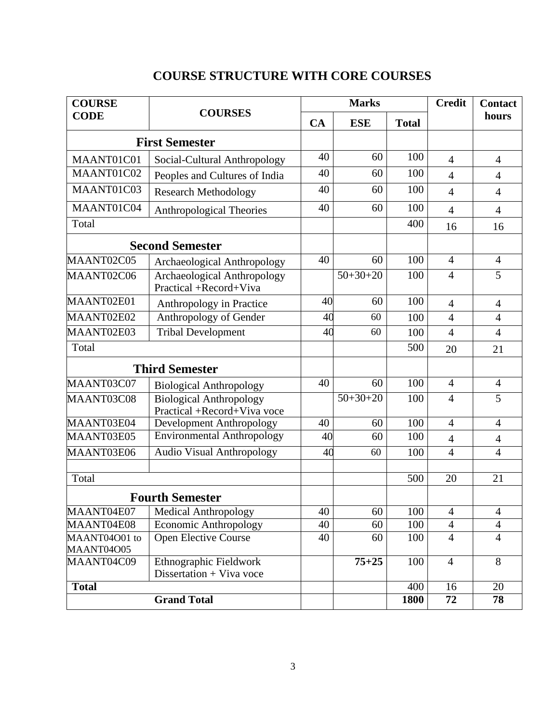| <b>COURSE</b>            |                                                               | <b>Marks</b> |            |              | <b>Credit</b>  | <b>Contact</b> |
|--------------------------|---------------------------------------------------------------|--------------|------------|--------------|----------------|----------------|
| <b>CODE</b>              | <b>COURSES</b>                                                | CA           | <b>ESE</b> | <b>Total</b> |                | hours          |
| <b>First Semester</b>    |                                                               |              |            |              |                |                |
| MAANT01C01               | Social-Cultural Anthropology                                  | 40           | 60         | 100          | 4              | $\overline{4}$ |
| MAANT01C02               | Peoples and Cultures of India                                 | 40           | 60         | 100          | $\overline{4}$ | $\overline{4}$ |
| MAANT01C03               | <b>Research Methodology</b>                                   | 40           | 60         | 100          | $\overline{4}$ | $\overline{4}$ |
| MAANT01C04               | <b>Anthropological Theories</b>                               | 40           | 60         | 100          | $\overline{4}$ | $\overline{4}$ |
| Total                    |                                                               |              |            | 400          | 16             | 16             |
|                          | <b>Second Semester</b>                                        |              |            |              |                |                |
| MAANT02C05               | <b>Archaeological Anthropology</b>                            | 40           | 60         | 100          | $\overline{4}$ | $\overline{4}$ |
| MAANT02C06               | Archaeological Anthropology<br>Practical +Record+Viva         |              | $50+30+20$ | 100          | $\overline{4}$ | 5              |
| MAANT02E01               | Anthropology in Practice                                      | 40           | 60         | 100          | $\overline{4}$ | $\overline{4}$ |
| MAANT02E02               | Anthropology of Gender                                        | 40           | 60         | 100          | $\overline{4}$ | $\overline{4}$ |
| MAANT02E03               | <b>Tribal Development</b>                                     | 40           | 60         | 100          | $\overline{4}$ | $\overline{4}$ |
| Total                    |                                                               |              |            | 500          | 20             | 21             |
|                          | <b>Third Semester</b>                                         |              |            |              |                |                |
| MAANT03C07               | <b>Biological Anthropology</b>                                | 40           | 60         | 100          | $\overline{4}$ | $\overline{4}$ |
| MAANT03C08               | <b>Biological Anthropology</b><br>Practical +Record+Viva voce |              | $50+30+20$ | 100          | $\overline{4}$ | $\overline{5}$ |
| MAANT03E04               | Development Anthropology                                      | 40           | 60         | 100          | $\overline{4}$ | $\overline{4}$ |
| MAANT03E05               | <b>Environmental Anthropology</b>                             | 40           | 60         | 100          | $\overline{4}$ | $\overline{4}$ |
| MAANT03E06               | <b>Audio Visual Anthropology</b>                              | 40           | 60         | 100          | $\overline{4}$ | $\overline{4}$ |
| Total                    |                                                               |              |            | 500          | 20             | 21             |
| <b>Fourth Semester</b>   |                                                               |              |            |              |                |                |
| MAANT04E07               | <b>Medical Anthropology</b>                                   | 40           | 60         | 100          | $\overline{4}$ | $\overline{4}$ |
| MAANT04E08               | <b>Economic Anthropology</b>                                  | 40           | 60         | 100          | $\overline{4}$ | $\overline{4}$ |
| MAANT04O01 to            | <b>Open Elective Course</b>                                   | 40           | 60         | 100          | $\overline{4}$ | $\overline{4}$ |
| MAANT04O05<br>MAANT04C09 | Ethnographic Fieldwork<br>Dissertation + Viva voce            |              | $75 + 25$  | 100          | $\overline{4}$ | 8              |
| <b>Total</b>             |                                                               |              |            | 400          | 16             | 20             |
|                          | <b>Grand Total</b>                                            |              |            | 1800         | 72             | 78             |

## **COURSE STRUCTURE WITH CORE COURSES**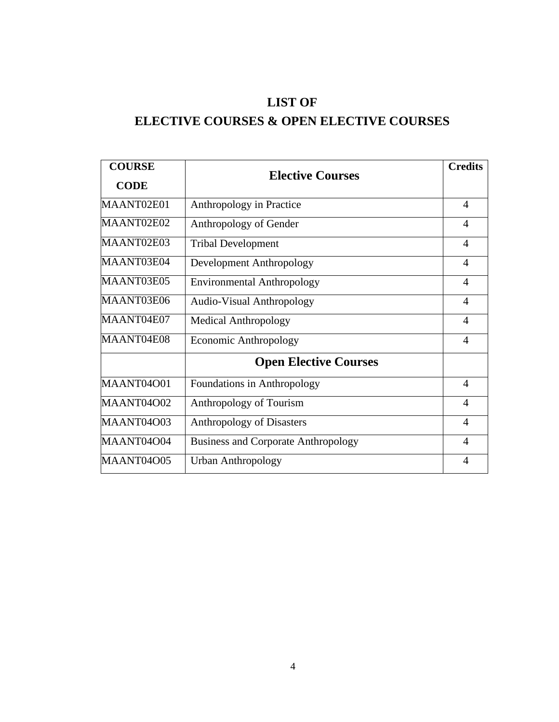## **LIST OF**

## **ELECTIVE COURSES & OPEN ELECTIVE COURSES**

| <b>COURSE</b> | <b>Elective Courses</b>                    | <b>Credits</b> |
|---------------|--------------------------------------------|----------------|
| <b>CODE</b>   |                                            |                |
| MAANT02E01    | Anthropology in Practice                   | $\overline{A}$ |
| MAANT02E02    | Anthropology of Gender                     | $\overline{A}$ |
| MAANT02E03    | <b>Tribal Development</b>                  | $\overline{4}$ |
| MAANT03E04    | Development Anthropology                   | $\overline{4}$ |
| MAANT03E05    | <b>Environmental Anthropology</b>          | $\overline{4}$ |
| MAANT03E06    | <b>Audio-Visual Anthropology</b>           | $\overline{4}$ |
| MAANT04E07    | <b>Medical Anthropology</b>                | $\overline{4}$ |
| MAANT04E08    | <b>Economic Anthropology</b>               | $\overline{A}$ |
|               | <b>Open Elective Courses</b>               |                |
| MAANT04O01    | Foundations in Anthropology                | $\overline{A}$ |
| MAANT04O02    | Anthropology of Tourism                    | $\overline{4}$ |
| MAANT04O03    | <b>Anthropology of Disasters</b>           | $\overline{4}$ |
| MAANT04O04    | <b>Business and Corporate Anthropology</b> | $\overline{4}$ |
| MAANT04O05    | <b>Urban Anthropology</b>                  | $\overline{A}$ |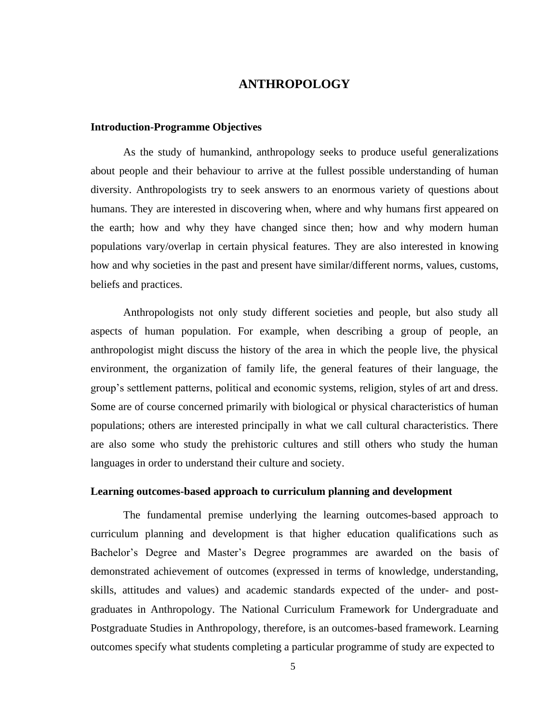## **ANTHROPOLOGY**

#### **Introduction-Programme Objectives**

As the study of humankind, anthropology seeks to produce useful generalizations about people and their behaviour to arrive at the fullest possible understanding of human diversity. Anthropologists try to seek answers to an enormous variety of questions about humans. They are interested in discovering when, where and why humans first appeared on the earth; how and why they have changed since then; how and why modern human populations vary/overlap in certain physical features. They are also interested in knowing how and why societies in the past and present have similar/different norms, values, customs, beliefs and practices.

Anthropologists not only study different societies and people, but also study all aspects of human population. For example, when describing a group of people, an anthropologist might discuss the history of the area in which the people live, the physical environment, the organization of family life, the general features of their language, the group's settlement patterns, political and economic systems, religion, styles of art and dress. Some are of course concerned primarily with biological or physical characteristics of human populations; others are interested principally in what we call cultural characteristics. There are also some who study the prehistoric cultures and still others who study the human languages in order to understand their culture and society.

#### **Learning outcomes-based approach to curriculum planning and development**

The fundamental premise underlying the learning outcomes-based approach to curriculum planning and development is that higher education qualifications such as Bachelor's Degree and Master's Degree programmes are awarded on the basis of demonstrated achievement of outcomes (expressed in terms of knowledge, understanding, skills, attitudes and values) and academic standards expected of the under- and postgraduates in Anthropology. The National Curriculum Framework for Undergraduate and Postgraduate Studies in Anthropology, therefore, is an outcomes-based framework. Learning outcomes specify what students completing a particular programme of study are expected to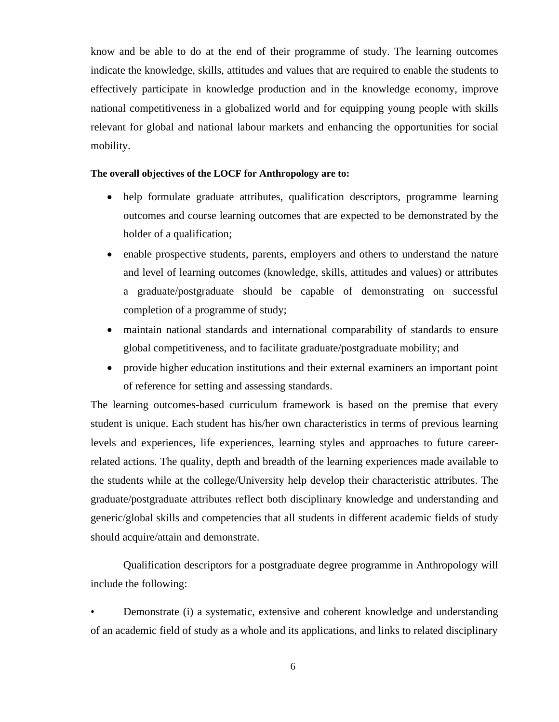know and be able to do at the end of their programme of study. The learning outcomes indicate the knowledge, skills, attitudes and values that are required to enable the students to effectively participate in knowledge production and in the knowledge economy, improve national competitiveness in a globalized world and for equipping young people with skills relevant for global and national labour markets and enhancing the opportunities for social mobility.

#### **The overall objectives of the LOCF for Anthropology are to:**

- help formulate graduate attributes, qualification descriptors, programme learning outcomes and course learning outcomes that are expected to be demonstrated by the holder of a qualification;
- enable prospective students, parents, employers and others to understand the nature and level of learning outcomes (knowledge, skills, attitudes and values) or attributes a graduate/postgraduate should be capable of demonstrating on successful completion of a programme of study;
- maintain national standards and international comparability of standards to ensure global competitiveness, and to facilitate graduate/postgraduate mobility; and
- provide higher education institutions and their external examiners an important point of reference for setting and assessing standards.

The learning outcomes-based curriculum framework is based on the premise that every student is unique. Each student has his/her own characteristics in terms of previous learning levels and experiences, life experiences, learning styles and approaches to future careerrelated actions. The quality, depth and breadth of the learning experiences made available to the students while at the college/University help develop their characteristic attributes. The graduate/postgraduate attributes reflect both disciplinary knowledge and understanding and generic/global skills and competencies that all students in different academic fields of study should acquire/attain and demonstrate.

Qualification descriptors for a postgraduate degree programme in Anthropology will include the following:

• Demonstrate (i) a systematic, extensive and coherent knowledge and understanding of an academic field of study as a whole and its applications, and links to related disciplinary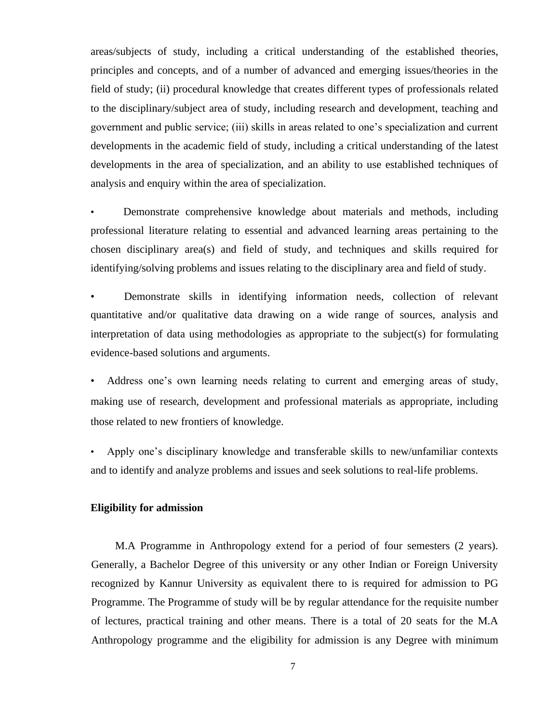areas/subjects of study, including a critical understanding of the established theories, principles and concepts, and of a number of advanced and emerging issues/theories in the field of study; (ii) procedural knowledge that creates different types of professionals related to the disciplinary/subject area of study, including research and development, teaching and government and public service; (iii) skills in areas related to one's specialization and current developments in the academic field of study, including a critical understanding of the latest developments in the area of specialization, and an ability to use established techniques of analysis and enquiry within the area of specialization.

• Demonstrate comprehensive knowledge about materials and methods, including professional literature relating to essential and advanced learning areas pertaining to the chosen disciplinary area(s) and field of study, and techniques and skills required for identifying/solving problems and issues relating to the disciplinary area and field of study.

• Demonstrate skills in identifying information needs, collection of relevant quantitative and/or qualitative data drawing on a wide range of sources, analysis and interpretation of data using methodologies as appropriate to the subject(s) for formulating evidence-based solutions and arguments.

• Address one's own learning needs relating to current and emerging areas of study, making use of research, development and professional materials as appropriate, including those related to new frontiers of knowledge.

• Apply one's disciplinary knowledge and transferable skills to new/unfamiliar contexts and to identify and analyze problems and issues and seek solutions to real-life problems.

## **Eligibility for admission**

M.A Programme in Anthropology extend for a period of four semesters (2 years). Generally, a Bachelor Degree of this university or any other Indian or Foreign University recognized by Kannur University as equivalent there to is required for admission to PG Programme. The Programme of study will be by regular attendance for the requisite number of lectures, practical training and other means. There is a total of 20 seats for the M.A Anthropology programme and the eligibility for admission is any Degree with minimum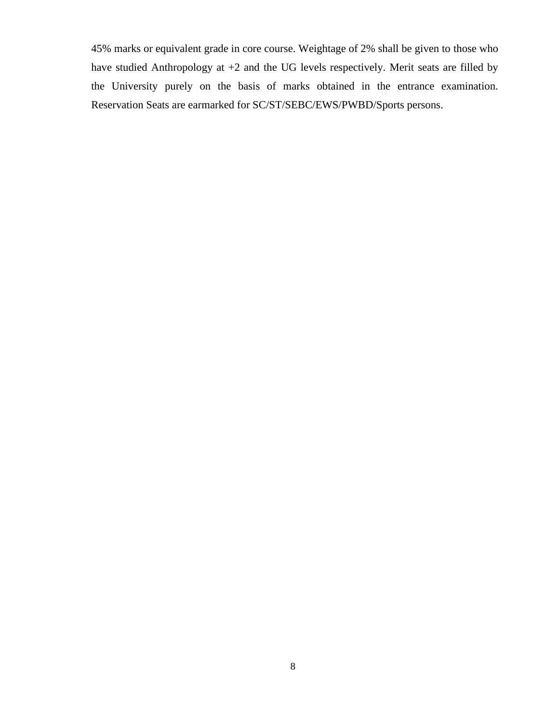45% marks or equivalent grade in core course. Weightage of 2% shall be given to those who have studied Anthropology at +2 and the UG levels respectively. Merit seats are filled by the University purely on the basis of marks obtained in the entrance examination. Reservation Seats are earmarked for SC/ST/SEBC/EWS/PWBD/Sports persons.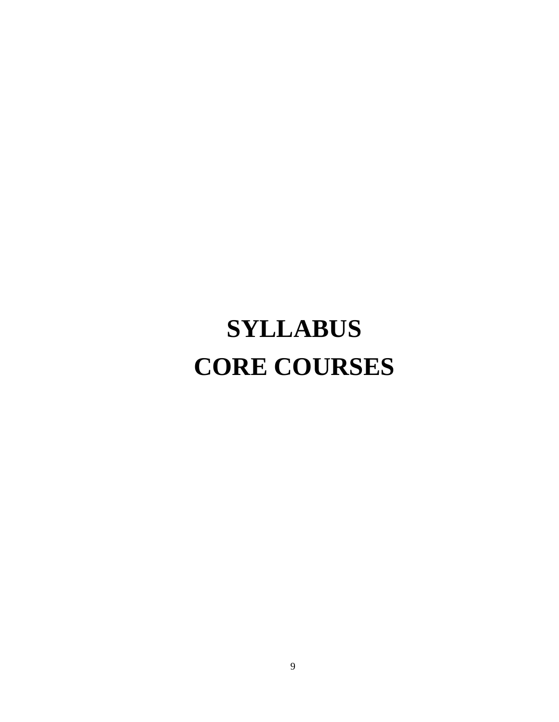# **SYLLABUS CORE COURSES**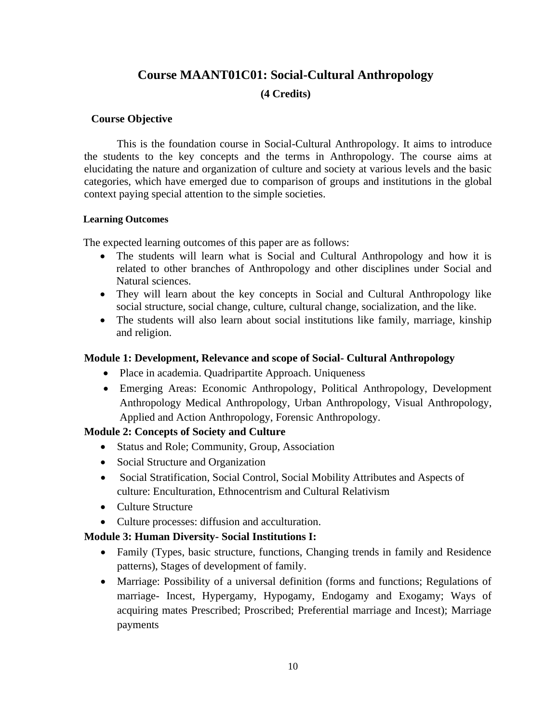## **Course MAANT01C01: Social-Cultural Anthropology (4 Credits)**

#### **Course Objective**

This is the foundation course in Social-Cultural Anthropology. It aims to introduce the students to the key concepts and the terms in Anthropology. The course aims at elucidating the nature and organization of culture and society at various levels and the basic categories, which have emerged due to comparison of groups and institutions in the global context paying special attention to the simple societies.

#### **Learning Outcomes**

The expected learning outcomes of this paper are as follows:

- The students will learn what is Social and Cultural Anthropology and how it is related to other branches of Anthropology and other disciplines under Social and Natural sciences.
- They will learn about the key concepts in Social and Cultural Anthropology like social structure, social change, culture, cultural change, socialization, and the like.
- The students will also learn about social institutions like family, marriage, kinship and religion.

## **Module 1: Development, Relevance and scope of Social- Cultural Anthropology**

- Place in academia. Quadripartite Approach. Uniqueness
- Emerging Areas: Economic Anthropology, Political Anthropology, Development Anthropology Medical Anthropology, Urban Anthropology, Visual Anthropology, Applied and Action Anthropology, Forensic Anthropology.

## **Module 2: Concepts of Society and Culture**

- Status and Role; Community, Group, Association
- Social Structure and Organization
- Social Stratification, Social Control, Social Mobility Attributes and Aspects of culture: Enculturation, Ethnocentrism and Cultural Relativism
- Culture Structure
- Culture processes: diffusion and acculturation.

## **Module 3: Human Diversity- Social Institutions I:**

- Family (Types, basic structure, functions, Changing trends in family and Residence patterns), Stages of development of family.
- Marriage: Possibility of a universal definition (forms and functions; Regulations of marriage- Incest, Hypergamy, Hypogamy, Endogamy and Exogamy; Ways of acquiring mates Prescribed; Proscribed; Preferential marriage and Incest); Marriage payments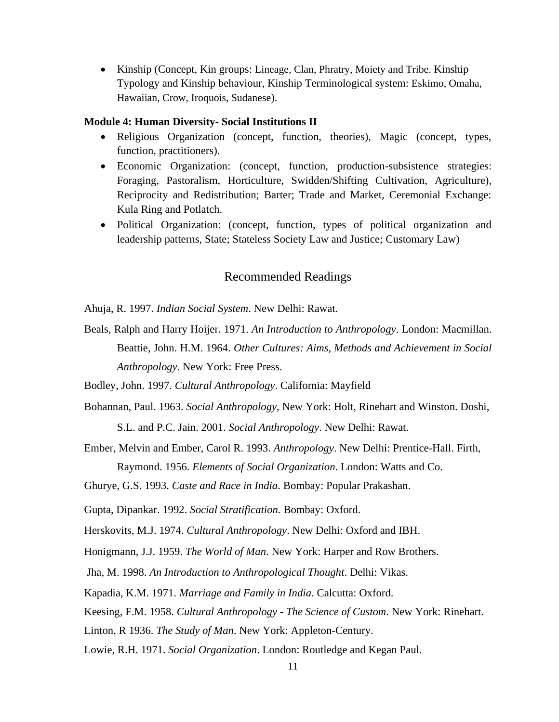• Kinship (Concept, Kin groups: Lineage, Clan, Phratry, Moiety and Tribe. Kinship Typology and Kinship behaviour, Kinship Terminological system: Eskimo, Omaha, Hawaiian, Crow, Iroquois, Sudanese).

#### **Module 4: Human Diversity- Social Institutions II**

- Religious Organization (concept, function, theories), Magic (concept, types, function, practitioners).
- Economic Organization: (concept, function, production-subsistence strategies: Foraging, Pastoralism, Horticulture, Swidden/Shifting Cultivation, Agriculture), Reciprocity and Redistribution; Barter; Trade and Market, Ceremonial Exchange: Kula Ring and Potlatch.
- Political Organization: (concept, function, types of political organization and leadership patterns, State; Stateless Society Law and Justice; Customary Law)

## Recommended Readings

Ahuja, R. 1997. *Indian Social System*. New Delhi: Rawat.

Beals, Ralph and Harry Hoijer. 1971. *An Introduction to Anthropology*. London: Macmillan. Beattie, John. H.M. 1964. *Other Cultures: Aims, Methods and Achievement in Social Anthropology*. New York: Free Press.

Bodley, John. 1997. *Cultural Anthropology*. California: Mayfield

Bohannan, Paul. 1963. *Social Anthropology*, New York: Holt, Rinehart and Winston. Doshi,

S.L. and P.C. Jain. 2001. *Social Anthropology*. New Delhi: Rawat.

Ember, Melvin and Ember, Carol R. 1993. *Anthropology*. New Delhi: Prentice-Hall. Firth, Raymond. 1956. *Elements of Social Organization*. London: Watts and Co.

Ghurye, G.S. 1993. *Caste and Race in India*. Bombay: Popular Prakashan.

Gupta, Dipankar. 1992. *Social Stratification.* Bombay: Oxford.

Herskovits, M.J. 1974. *Cultural Anthropology*. New Delhi: Oxford and IBH.

Honigmann, J.J. 1959. *The World of Man*. New York: Harper and Row Brothers.

Jha, M. 1998. *An Introduction to Anthropological Thought*. Delhi: Vikas.

Kapadia, K.M. 1971. *Marriage and Family in India*. Calcutta: Oxford.

Keesing, F.M. 1958. *Cultural Anthropology - The Science of Custom*. New York: Rinehart.

Linton, R 1936. *The Study of Man*. New York: Appleton-Century.

Lowie, R.H. 1971. *Social Organization*. London: Routledge and Kegan Paul.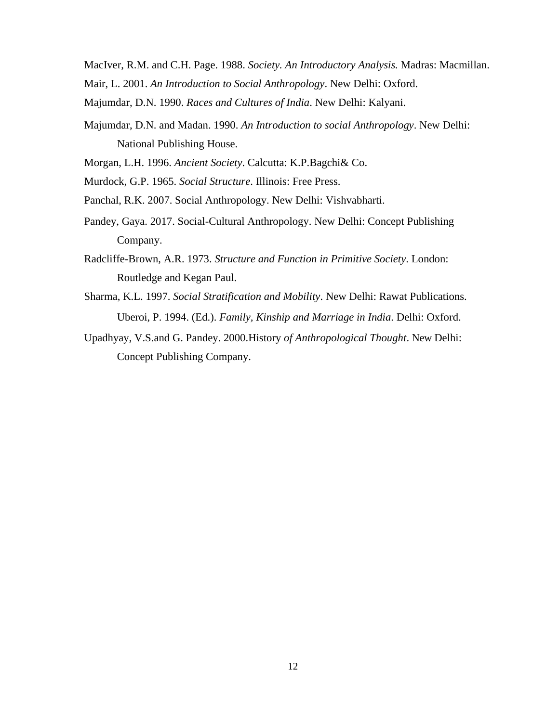MacIver, R.M. and C.H. Page. 1988. *Society. An Introductory Analysis.* Madras: Macmillan. Mair, L. 2001. *An Introduction to Social Anthropology*. New Delhi: Oxford.

Majumdar, D.N. 1990. *Races and Cultures of India*. New Delhi: Kalyani.

Majumdar, D.N. and Madan. 1990. *An Introduction to social Anthropology*. New Delhi: National Publishing House.

Morgan, L.H. 1996. *Ancient Society*. Calcutta: K.P.Bagchi& Co.

Murdock, G.P. 1965. *Social Structure*. Illinois: Free Press.

Panchal, R.K. 2007. Social Anthropology. New Delhi: Vishvabharti.

- Pandey, Gaya. 2017. Social-Cultural Anthropology. New Delhi: Concept Publishing Company.
- Radcliffe-Brown, A.R. 1973. *Structure and Function in Primitive Society*. London: Routledge and Kegan Paul.
- Sharma, K.L. 1997. *Social Stratification and Mobility*. New Delhi: Rawat Publications. Uberoi, P. 1994. (Ed.). *Family, Kinship and Marriage in India*. Delhi: Oxford.
- Upadhyay, V.S.and G. Pandey. 2000.History *of Anthropological Thought*. New Delhi: Concept Publishing Company.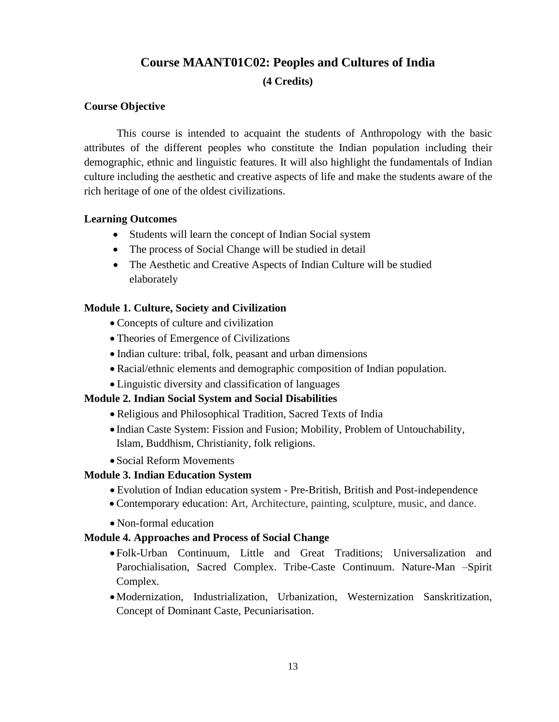## **Course MAANT01C02: Peoples and Cultures of India**

## **(4 Credits)**

## **Course Objective**

This course is intended to acquaint the students of Anthropology with the basic attributes of the different peoples who constitute the Indian population including their demographic, ethnic and linguistic features. It will also highlight the fundamentals of Indian culture including the aesthetic and creative aspects of life and make the students aware of the rich heritage of one of the oldest civilizations.

## **Learning Outcomes**

- Students will learn the concept of Indian Social system
- The process of Social Change will be studied in detail
- The Aesthetic and Creative Aspects of Indian Culture will be studied elaborately

## **Module 1. Culture, Society and Civilization**

- Concepts of culture and civilization
- Theories of Emergence of Civilizations
- Indian culture: tribal, folk, peasant and urban dimensions
- Racial/ethnic elements and demographic composition of Indian population.
- Linguistic diversity and classification of languages

## **Module 2. Indian Social System and Social Disabilities**

- Religious and Philosophical Tradition, Sacred Texts of India
- Indian Caste System: Fission and Fusion; Mobility, Problem of Untouchability, Islam, Buddhism, Christianity, folk religions.
- Social Reform Movements

## **Module 3. Indian Education System**

- Evolution of Indian education system Pre-British, British and Post-independence
- Contemporary education: Art, Architecture, painting, sculpture, music, and dance.
- Non-formal education

## **Module 4. Approaches and Process of Social Change**

- Folk-Urban Continuum, Little and Great Traditions; Universalization and Parochialisation, Sacred Complex. Tribe-Caste Continuum. Nature-Man –Spirit Complex.
- •Modernization, Industrialization, Urbanization, Westernization Sanskritization, Concept of Dominant Caste, Pecuniarisation.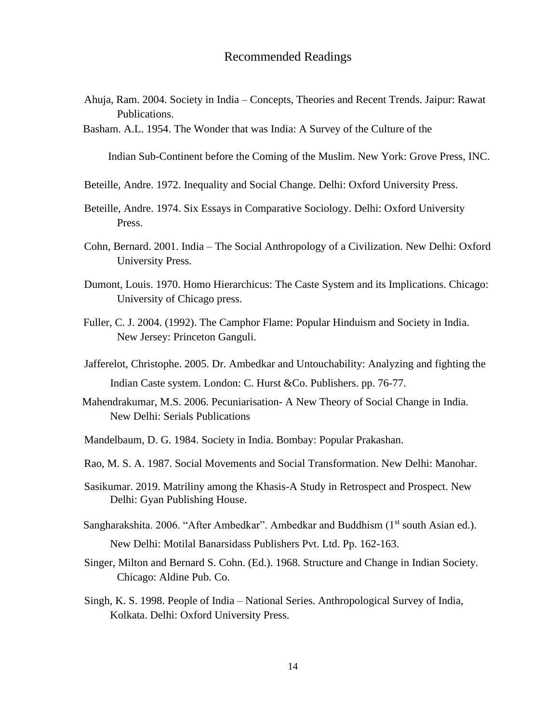- Ahuja, Ram. 2004. Society in India Concepts, Theories and Recent Trends. Jaipur: Rawat Publications.
- Basham. A.L. 1954. The Wonder that was India: A Survey of the Culture of the

Indian Sub-Continent before the Coming of the Muslim. New York: Grove Press, INC.

- Beteille, Andre. 1972. Inequality and Social Change. Delhi: Oxford University Press.
- Beteille, Andre. 1974. Six Essays in Comparative Sociology. Delhi: Oxford University Press.
- Cohn, Bernard. 2001. India The Social Anthropology of a Civilization. New Delhi: Oxford University Press.
- Dumont, Louis. 1970. Homo Hierarchicus: The Caste System and its Implications. Chicago: University of Chicago press.
- Fuller, C. J. 2004. (1992). The Camphor Flame: Popular Hinduism and Society in India. New Jersey: Princeton Ganguli.
- Jafferelot, Christophe. 2005. Dr. Ambedkar and Untouchability: Analyzing and fighting the Indian Caste system. London: C. Hurst &Co. Publishers. pp. 76-77.
- Mahendrakumar, M.S. 2006. Pecuniarisation- A New Theory of Social Change in India. New Delhi: Serials Publications
- Mandelbaum, D. G. 1984. Society in India. Bombay: Popular Prakashan.
- Rao, M. S. A. 1987. Social Movements and Social Transformation. New Delhi: Manohar.
- Sasikumar. 2019. Matriliny among the Khasis-A Study in Retrospect and Prospect. New Delhi: Gyan Publishing House.
- Sangharakshita. 2006. "After Ambedkar". Ambedkar and Buddhism (1<sup>st</sup> south Asian ed.). New Delhi: Motilal Banarsidass Publishers Pvt. Ltd. Pp. 162-163.
- Singer, Milton and Bernard S. Cohn. (Ed.). 1968. Structure and Change in Indian Society. Chicago: Aldine Pub. Co.
- Singh, K. S. 1998. People of India National Series. Anthropological Survey of India, Kolkata. Delhi: Oxford University Press.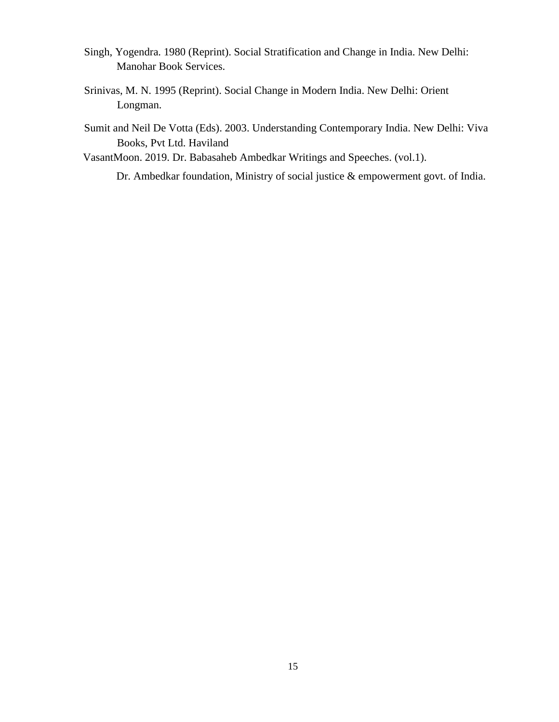- Singh, Yogendra. 1980 (Reprint). Social Stratification and Change in India. New Delhi: Manohar Book Services.
- Srinivas, M. N. 1995 (Reprint). Social Change in Modern India. New Delhi: Orient Longman.

Sumit and Neil De Votta (Eds). 2003. Understanding Contemporary India. New Delhi: Viva Books, Pvt Ltd. Haviland

VasantMoon. 2019. Dr. Babasaheb Ambedkar Writings and Speeches. (vol.1).

Dr. Ambedkar foundation, Ministry of social justice & empowerment govt. of India.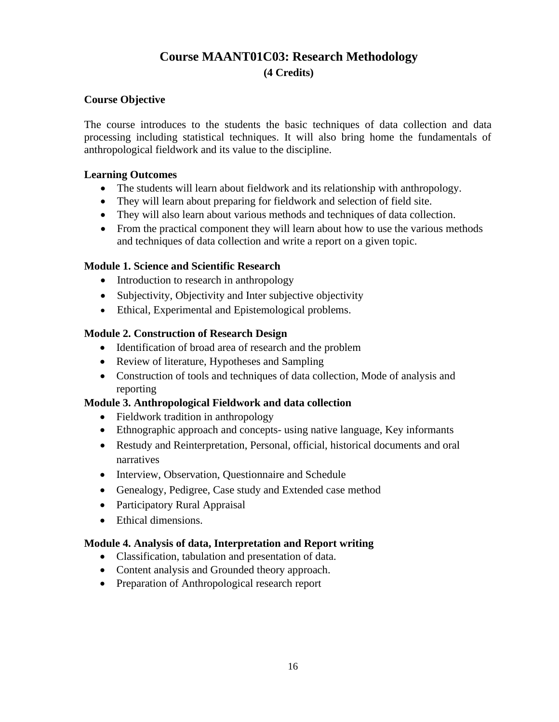## **Course MAANT01C03: Research Methodology**

## **(4 Credits)**

## **Course Objective**

The course introduces to the students the basic techniques of data collection and data processing including statistical techniques. It will also bring home the fundamentals of anthropological fieldwork and its value to the discipline.

## **Learning Outcomes**

- The students will learn about fieldwork and its relationship with anthropology.
- They will learn about preparing for fieldwork and selection of field site.
- They will also learn about various methods and techniques of data collection.
- From the practical component they will learn about how to use the various methods and techniques of data collection and write a report on a given topic.

## **Module 1. Science and Scientific Research**

- Introduction to research in anthropology
- Subjectivity, Objectivity and Inter subjective objectivity
- Ethical, Experimental and Epistemological problems.

## **Module 2. Construction of Research Design**

- Identification of broad area of research and the problem
- Review of literature, Hypotheses and Sampling
- Construction of tools and techniques of data collection, Mode of analysis and reporting

## **Module 3. Anthropological Fieldwork and data collection**

- Fieldwork tradition in anthropology
- Ethnographic approach and concepts- using native language, Key informants
- Restudy and Reinterpretation, Personal, official, historical documents and oral narratives
- Interview, Observation, Questionnaire and Schedule
- Genealogy, Pedigree, Case study and Extended case method
- Participatory Rural Appraisal
- Ethical dimensions.

## **Module 4. Analysis of data, Interpretation and Report writing**

- Classification, tabulation and presentation of data.
- Content analysis and Grounded theory approach.
- Preparation of Anthropological research report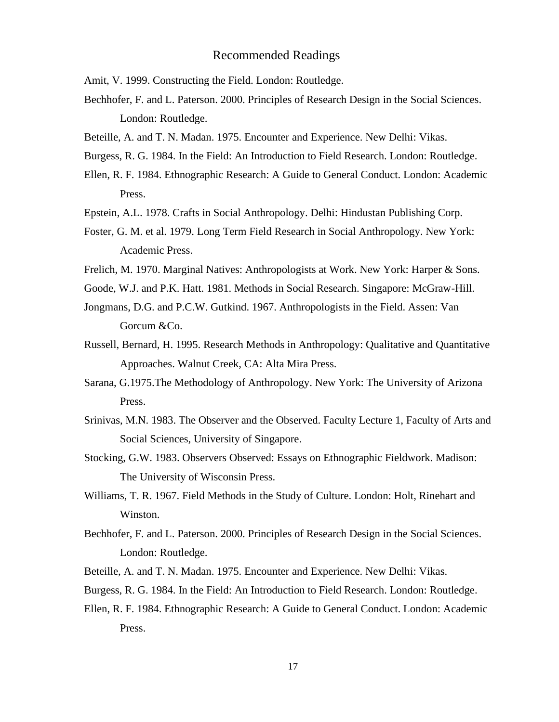Amit, V. 1999. Constructing the Field. London: Routledge.

- Bechhofer, F. and L. Paterson. 2000. Principles of Research Design in the Social Sciences. London: Routledge.
- Beteille, A. and T. N. Madan. 1975. Encounter and Experience. New Delhi: Vikas.
- Burgess, R. G. 1984. In the Field: An Introduction to Field Research. London: Routledge.
- Ellen, R. F. 1984. Ethnographic Research: A Guide to General Conduct. London: Academic Press.
- Epstein, A.L. 1978. Crafts in Social Anthropology. Delhi: Hindustan Publishing Corp.
- Foster, G. M. et al. 1979. Long Term Field Research in Social Anthropology. New York: Academic Press.
- Frelich, M. 1970. Marginal Natives: Anthropologists at Work. New York: Harper & Sons.
- Goode, W.J. and P.K. Hatt. 1981. Methods in Social Research. Singapore: McGraw-Hill.
- Jongmans, D.G. and P.C.W. Gutkind. 1967. Anthropologists in the Field. Assen: Van Gorcum &Co.
- Russell, Bernard, H. 1995. Research Methods in Anthropology: Qualitative and Quantitative Approaches. Walnut Creek, CA: Alta Mira Press.
- Sarana, G.1975.The Methodology of Anthropology. New York: The University of Arizona Press.
- Srinivas, M.N. 1983. The Observer and the Observed. Faculty Lecture 1, Faculty of Arts and Social Sciences, University of Singapore.
- Stocking, G.W. 1983. Observers Observed: Essays on Ethnographic Fieldwork. Madison: The University of Wisconsin Press.
- Williams, T. R. 1967. Field Methods in the Study of Culture. London: Holt, Rinehart and Winston.
- Bechhofer, F. and L. Paterson. 2000. Principles of Research Design in the Social Sciences. London: Routledge.
- Beteille, A. and T. N. Madan. 1975. Encounter and Experience. New Delhi: Vikas.
- Burgess, R. G. 1984. In the Field: An Introduction to Field Research. London: Routledge.
- Ellen, R. F. 1984. Ethnographic Research: A Guide to General Conduct. London: Academic Press.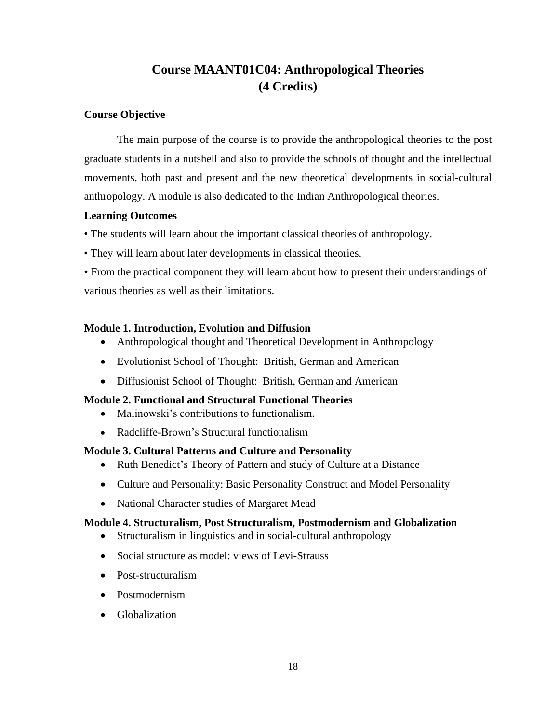## **Course MAANT01C04: Anthropological Theories (4 Credits)**

## **Course Objective**

The main purpose of the course is to provide the anthropological theories to the post graduate students in a nutshell and also to provide the schools of thought and the intellectual movements, both past and present and the new theoretical developments in social-cultural anthropology. A module is also dedicated to the Indian Anthropological theories.

## **Learning Outcomes**

• The students will learn about the important classical theories of anthropology.

- They will learn about later developments in classical theories.
- From the practical component they will learn about how to present their understandings of various theories as well as their limitations.

## **Module 1. Introduction, Evolution and Diffusion**

- Anthropological thought and Theoretical Development in Anthropology
- Evolutionist School of Thought: British, German and American
- Diffusionist School of Thought: British, German and American

## **Module 2. Functional and Structural Functional Theories**

- Malinowski's contributions to functionalism.
- Radcliffe-Brown's Structural functionalism

## **Module 3. Cultural Patterns and Culture and Personality**

- Ruth Benedict's Theory of Pattern and study of Culture at a Distance
- Culture and Personality: Basic Personality Construct and Model Personality
- National Character studies of Margaret Mead

## **Module 4. Structuralism, Post Structuralism, Postmodernism and Globalization**

- Structuralism in linguistics and in social-cultural anthropology
- Social structure as model: views of Levi-Strauss
- Post-structuralism
- Postmodernism
- Globalization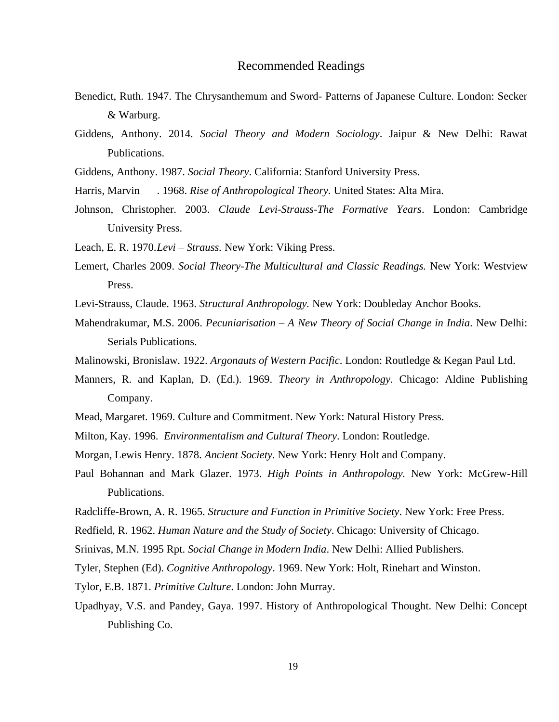- Benedict, Ruth. 1947. The Chrysanthemum and Sword- Patterns of Japanese Culture. London: Secker & Warburg.
- Giddens, Anthony. 2014. *Social Theory and Modern Sociology*. Jaipur & New Delhi: Rawat Publications.
- Giddens, Anthony. 1987. *Social Theory*. California: Stanford University Press.
- Harris, Marvin . 1968. *Rise of Anthropological Theory.* United States: Alta Mira.
- Johnson, Christopher. 2003. *Claude Levi-Strauss-The Formative Years*. London: Cambridge University Press.
- Leach, E. R. 1970.*Levi – Strauss.* New York: Viking Press.
- Lemert, Charles 2009. *Social Theory-The Multicultural and Classic Readings.* New York: Westview Press.
- Levi-Strauss, Claude. 1963. *Structural Anthropology.* New York: Doubleday Anchor Books.
- Mahendrakumar, M.S. 2006. *Pecuniarisation – A New Theory of Social Change in India*. New Delhi: Serials Publications.
- Malinowski, Bronislaw. 1922. *Argonauts of Western Pacific*. London: Routledge & Kegan Paul Ltd.
- Manners, R. and Kaplan, D. (Ed.). 1969. *Theory in Anthropology.* Chicago: Aldine Publishing Company.
- Mead, Margaret. 1969. Culture and Commitment. New York: Natural History Press.
- Milton, Kay. 1996. *Environmentalism and Cultural Theory*. London: Routledge.
- Morgan, Lewis Henry. 1878. *Ancient Society.* New York: Henry Holt and Company.
- Paul Bohannan and Mark Glazer. 1973. *High Points in Anthropology.* New York: McGrew-Hill Publications.
- Radcliffe-Brown, A. R. 1965. *Structure and Function in Primitive Society*. New York: Free Press.
- Redfield, R. 1962. *Human Nature and the Study of Society*. Chicago: University of Chicago.
- Srinivas, M.N. 1995 Rpt. *Social Change in Modern India*. New Delhi: Allied Publishers.
- Tyler, Stephen (Ed). *Cognitive Anthropology*. 1969. New York: Holt, Rinehart and Winston.
- Tylor, E.B. 1871. *Primitive Culture*. London: John Murray.
- Upadhyay, V.S. and Pandey, Gaya. 1997. History of Anthropological Thought. New Delhi: Concept Publishing Co.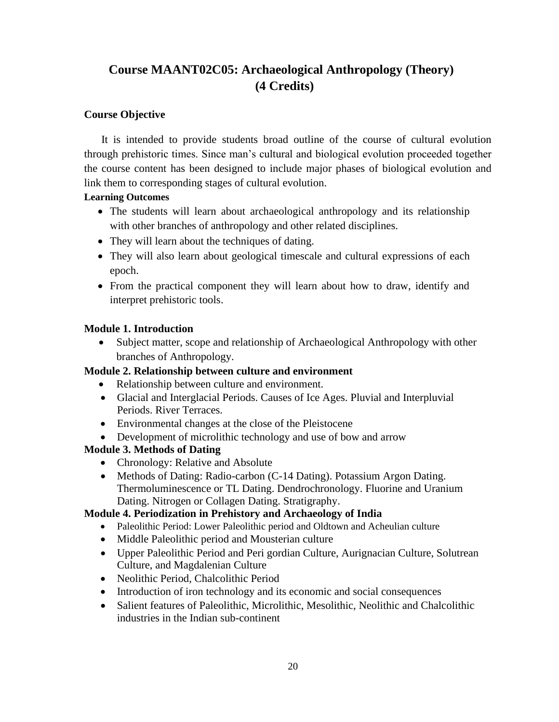## **Course MAANT02C05: Archaeological Anthropology (Theory) (4 Credits)**

## **Course Objective**

It is intended to provide students broad outline of the course of cultural evolution through prehistoric times. Since man's cultural and biological evolution proceeded together the course content has been designed to include major phases of biological evolution and link them to corresponding stages of cultural evolution.

## **Learning Outcomes**

- The students will learn about archaeological anthropology and its relationship with other branches of anthropology and other related disciplines.
- They will learn about the techniques of dating.
- They will also learn about geological timescale and cultural expressions of each epoch.
- From the practical component they will learn about how to draw, identify and interpret prehistoric tools.

## **Module 1. Introduction**

• Subject matter, scope and relationship of Archaeological Anthropology with other branches of Anthropology.

## **Module 2. Relationship between culture and environment**

- Relationship between culture and environment.
- Glacial and Interglacial Periods. Causes of Ice Ages. Pluvial and Interpluvial Periods. River Terraces.
- Environmental changes at the close of the Pleistocene
- Development of microlithic technology and use of bow and arrow

## **Module 3. Methods of Dating**

- Chronology: Relative and Absolute
- Methods of Dating: Radio-carbon (C-14 Dating). Potassium Argon Dating. Thermoluminescence or TL Dating. Dendrochronology. Fluorine and Uranium Dating. Nitrogen or Collagen Dating. Stratigraphy.

## **Module 4. Periodization in Prehistory and Archaeology of India**

- Paleolithic Period: Lower Paleolithic period and Oldtown and Acheulian culture
- Middle Paleolithic period and Mousterian culture
- Upper Paleolithic Period and Peri gordian Culture, Aurignacian Culture, Solutrean Culture, and Magdalenian Culture
- Neolithic Period, Chalcolithic Period
- Introduction of iron technology and its economic and social consequences
- Salient features of Paleolithic, Microlithic, Mesolithic, Neolithic and Chalcolithic industries in the Indian sub-continent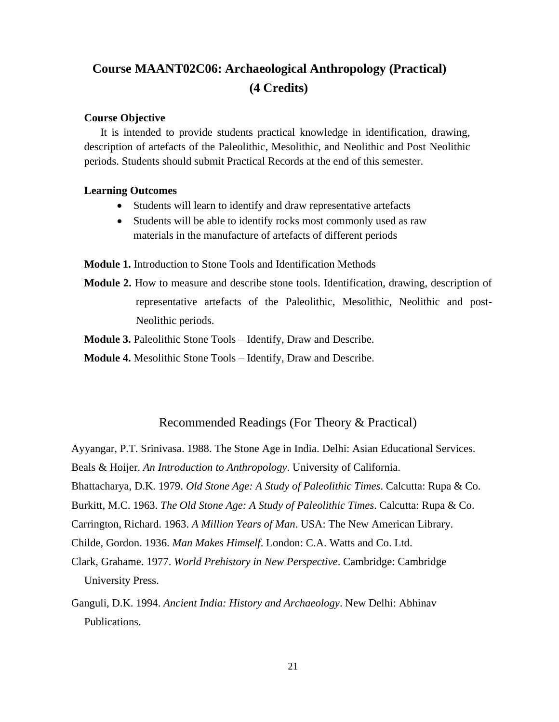## **Course MAANT02C06: Archaeological Anthropology (Practical) (4 Credits)**

#### **Course Objective**

It is intended to provide students practical knowledge in identification, drawing, description of artefacts of the Paleolithic, Mesolithic, and Neolithic and Post Neolithic periods. Students should submit Practical Records at the end of this semester.

#### **Learning Outcomes**

- Students will learn to identify and draw representative artefacts
- Students will be able to identify rocks most commonly used as raw materials in the manufacture of artefacts of different periods

**Module 1.** Introduction to Stone Tools and Identification Methods

**Module 2.** How to measure and describe stone tools. Identification, drawing, description of representative artefacts of the Paleolithic, Mesolithic, Neolithic and post-Neolithic periods.

**Module 3.** Paleolithic Stone Tools – Identify, Draw and Describe.

**Module 4.** Mesolithic Stone Tools – Identify, Draw and Describe.

## Recommended Readings (For Theory & Practical)

Ayyangar, P.T. Srinivasa. 1988. The Stone Age in India. Delhi: Asian Educational Services.

Beals & Hoijer. *An Introduction to Anthropology*. University of California.

Bhattacharya, D.K. 1979. *Old Stone Age: A Study of Paleolithic Times*. Calcutta: Rupa & Co.

Burkitt, M.C. 1963. *The Old Stone Age: A Study of Paleolithic Times*. Calcutta: Rupa & Co.

Carrington, Richard. 1963. *A Million Years of Man*. USA: The New American Library.

Childe, Gordon. 1936. *Man Makes Himself*. London: C.A. Watts and Co. Ltd.

- Clark, Grahame. 1977. *World Prehistory in New Perspective*. Cambridge: Cambridge University Press.
- Ganguli, D.K. 1994. *Ancient India: History and Archaeology*. New Delhi: Abhinav Publications.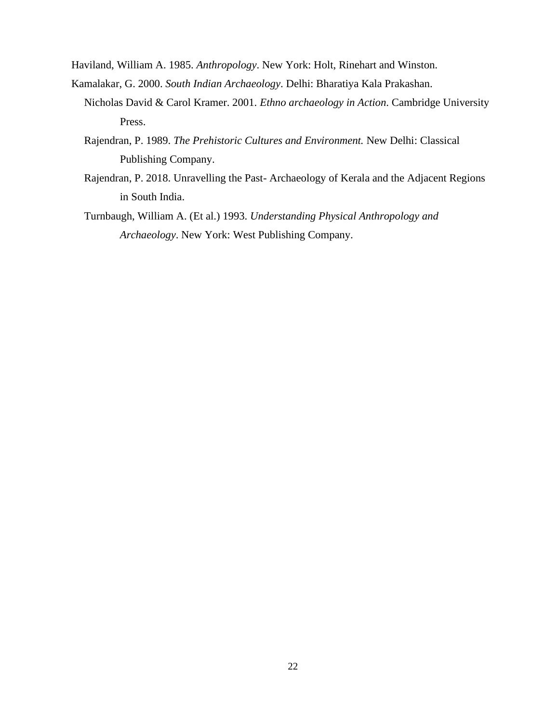- Haviland, William A. 1985. *Anthropology*. New York: Holt, Rinehart and Winston.
- Kamalakar, G. 2000. *South Indian Archaeology*. Delhi: Bharatiya Kala Prakashan.
	- Nicholas David & Carol Kramer. 2001. *Ethno archaeology in Action*. Cambridge University Press.
	- Rajendran, P. 1989. *The Prehistoric Cultures and Environment.* New Delhi: Classical Publishing Company.
	- Rajendran, P. 2018. Unravelling the Past- Archaeology of Kerala and the Adjacent Regions in South India.
	- Turnbaugh, William A. (Et al.) 1993. *Understanding Physical Anthropology and Archaeology*. New York: West Publishing Company.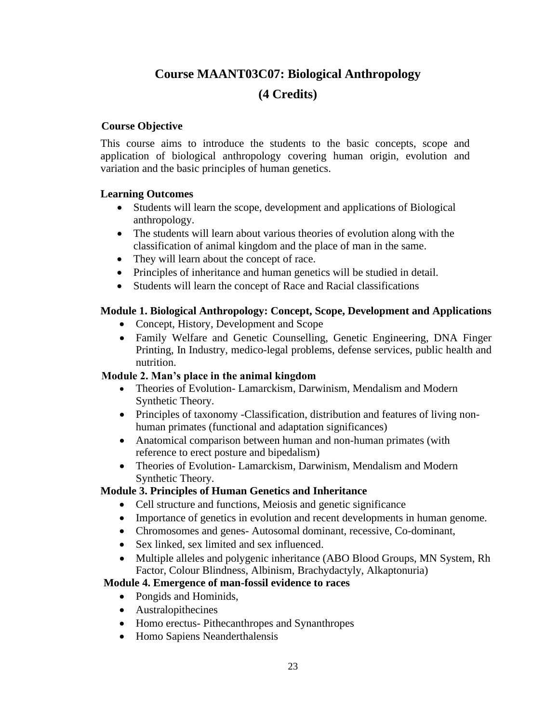## **Course MAANT03C07: Biological Anthropology (4 Credits)**

## **Course Objective**

This course aims to introduce the students to the basic concepts, scope and application of biological anthropology covering human origin, evolution and variation and the basic principles of human genetics.

## **Learning Outcomes**

- Students will learn the scope, development and applications of Biological anthropology.
- The students will learn about various theories of evolution along with the classification of animal kingdom and the place of man in the same.
- They will learn about the concept of race.
- Principles of inheritance and human genetics will be studied in detail.
- Students will learn the concept of Race and Racial classifications

## **Module 1. Biological Anthropology: Concept, Scope, Development and Applications**

- Concept, History, Development and Scope
- Family Welfare and Genetic Counselling, Genetic Engineering, DNA Finger Printing, In Industry, medico-legal problems, defense services, public health and nutrition.

## **Module 2. Man's place in the animal kingdom**

- Theories of Evolution- Lamarckism, Darwinism, Mendalism and Modern Synthetic Theory.
- Principles of taxonomy -Classification, distribution and features of living nonhuman primates (functional and adaptation significances)
- Anatomical comparison between human and non-human primates (with reference to erect posture and bipedalism)
- Theories of Evolution- Lamarckism, Darwinism, Mendalism and Modern Synthetic Theory.

## **Module 3. Principles of Human Genetics and Inheritance**

- Cell structure and functions, Meiosis and genetic significance
- Importance of genetics in evolution and recent developments in human genome.
- Chromosomes and genes- Autosomal dominant, recessive, Co-dominant,
- Sex linked, sex limited and sex influenced.
- Multiple alleles and polygenic inheritance (ABO Blood Groups, MN System, Rh Factor, Colour Blindness, Albinism, Brachydactyly, Alkaptonuria)

## **Module 4. Emergence of man-fossil evidence to races**

- Pongids and Hominids,
- Australopithecines
- Homo erectus- Pithecanthropes and Synanthropes
- Homo Sapiens Neanderthalensis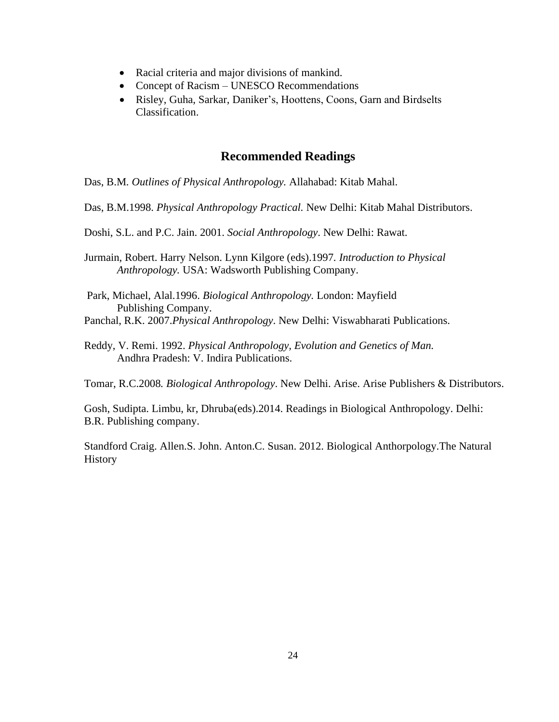- Racial criteria and major divisions of mankind.
- Concept of Racism UNESCO Recommendations
- Risley, Guha, Sarkar, Daniker's, Hoottens, Coons, Garn and Birdselts Classification.

Das, B.M*. Outlines of Physical Anthropology.* Allahabad: Kitab Mahal.

Das, B.M.1998. *Physical Anthropology Practical.* New Delhi: Kitab Mahal Distributors.

Doshi, S.L. and P.C. Jain. 2001. *Social Anthropology*. New Delhi: Rawat.

Jurmain, Robert. Harry Nelson. Lynn Kilgore (eds).1997*. Introduction to Physical Anthropology.* USA: Wadsworth Publishing Company.

Park, Michael, Alal.1996. *Biological Anthropology.* London: Mayfield Publishing Company. Panchal, R.K. 2007.*Physical Anthropology*. New Delhi: Viswabharati Publications.

Reddy, V. Remi. 1992. *Physical Anthropology, Evolution and Genetics of Man.*  Andhra Pradesh: V. Indira Publications.

Tomar, R.C.2008*. Biological Anthropology*. New Delhi. Arise. Arise Publishers & Distributors.

Gosh, Sudipta. Limbu, kr, Dhruba(eds).2014. Readings in Biological Anthropology. Delhi: B.R. Publishing company.

Standford Craig. Allen.S. John. Anton.C. Susan. 2012. Biological Anthorpology.The Natural History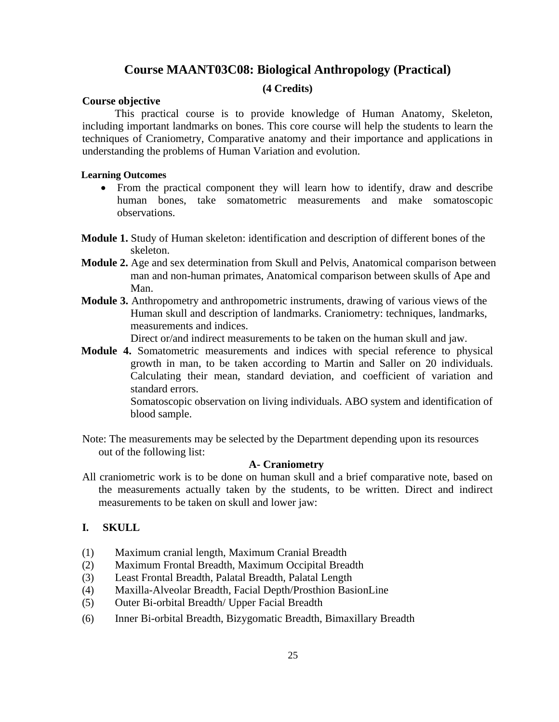## **Course MAANT03C08: Biological Anthropology (Practical)**

#### **(4 Credits)**

#### **Course objective**

This practical course is to provide knowledge of Human Anatomy, Skeleton, including important landmarks on bones. This core course will help the students to learn the techniques of Craniometry, Comparative anatomy and their importance and applications in understanding the problems of Human Variation and evolution.

#### **Learning Outcomes**

- From the practical component they will learn how to identify, draw and describe human bones, take somatometric measurements and make somatoscopic observations.
- **Module 1.** Study of Human skeleton: identification and description of different bones of the skeleton.
- **Module 2.** Age and sex determination from Skull and Pelvis, Anatomical comparison between man and non-human primates, Anatomical comparison between skulls of Ape and Man.
- **Module 3.** Anthropometry and anthropometric instruments, drawing of various views of the Human skull and description of landmarks. Craniometry: techniques, landmarks, measurements and indices.

Direct or/and indirect measurements to be taken on the human skull and jaw.

**Module 4.** Somatometric measurements and indices with special reference to physical growth in man, to be taken according to Martin and Saller on 20 individuals. Calculating their mean, standard deviation, and coefficient of variation and standard errors.

Somatoscopic observation on living individuals. ABO system and identification of blood sample.

Note: The measurements may be selected by the Department depending upon its resources out of the following list:

#### **A- Craniometry**

All craniometric work is to be done on human skull and a brief comparative note, based on the measurements actually taken by the students, to be written. Direct and indirect measurements to be taken on skull and lower jaw:

#### **I. SKULL**

- (1) Maximum cranial length, Maximum Cranial Breadth
- (2) Maximum Frontal Breadth, Maximum Occipital Breadth
- (3) Least Frontal Breadth, Palatal Breadth, Palatal Length
- (4) Maxilla-Alveolar Breadth, Facial Depth/Prosthion BasionLine
- (5) Outer Bi-orbital Breadth/ Upper Facial Breadth
- (6) Inner Bi-orbital Breadth, Bizygomatic Breadth, Bimaxillary Breadth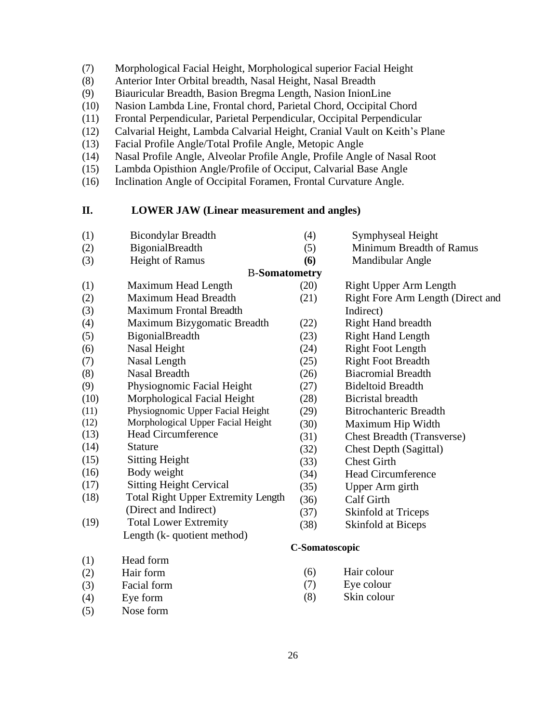- (7) Morphological Facial Height, Morphological superior Facial Height
- (8) Anterior Inter Orbital breadth, Nasal Height, Nasal Breadth
- (9) Biauricular Breadth, Basion Bregma Length, Nasion InionLine
- (10) Nasion Lambda Line, Frontal chord, Parietal Chord, Occipital Chord
- (11) Frontal Perpendicular, Parietal Perpendicular, Occipital Perpendicular
- (12) Calvarial Height, Lambda Calvarial Height, Cranial Vault on Keith's Plane
- (13) Facial Profile Angle/Total Profile Angle, Metopic Angle
- (14) Nasal Profile Angle, Alveolar Profile Angle, Profile Angle of Nasal Root
- (15) Lambda Opisthion Angle/Profile of Occiput, Calvarial Base Angle
- (16) Inclination Angle of Occipital Foramen, Frontal Curvature Angle.

#### **II. LOWER JAW (Linear measurement and angles)**

(1) Bicondylar Breadth (2) BigonialBreadth (3) Height of Ramus (1) Maximum Head Length (2) Maximum Head Breadth (3) Maximum Frontal Breadth (4) Symphyseal Height (5) Minimum Breadth of Ramus **(6)** Mandibular Angle B-**Somatometry** (20) Right Upper Arm Length (21) Right Fore Arm Length (Direct and Indirect) (4) Maximum Bizygomatic Breadth (5) BigonialBreadth (6) Nasal Height (7) Nasal Length (8) Nasal Breadth (9) Physiognomic Facial Height (10) Morphological Facial Height (11) Physiognomic Upper Facial Height (12) Morphological Upper Facial Height (13) Head Circumference (14) Stature (15) Sitting Height (16) Body weight (17) Sitting Height Cervical (18) Total Right Upper Extremity Length (Direct and Indirect) (19) Total Lower Extremity Length (k- quotient method) (1) Head form (2) Hair form (3) Facial form (4) Eye form (5) Nose form (22) Right Hand breadth (23) Right Hand Length (24) Right Foot Length (25) Right Foot Breadth (26) Biacromial Breadth (27) Bideltoid Breadth (28) Bicristal breadth (29) Bitrochanteric Breadth (30) Maximum Hip Width (31) Chest Breadth (Transverse) (32) Chest Depth (Sagittal) (33) Chest Girth (34) Head Circumference (35) Upper Arm girth (36) Calf Girth (37) Skinfold at Triceps (38) Skinfold at Biceps **C-Somatoscopic** (6) Hair colour (7) Eye colour (8) Skin colour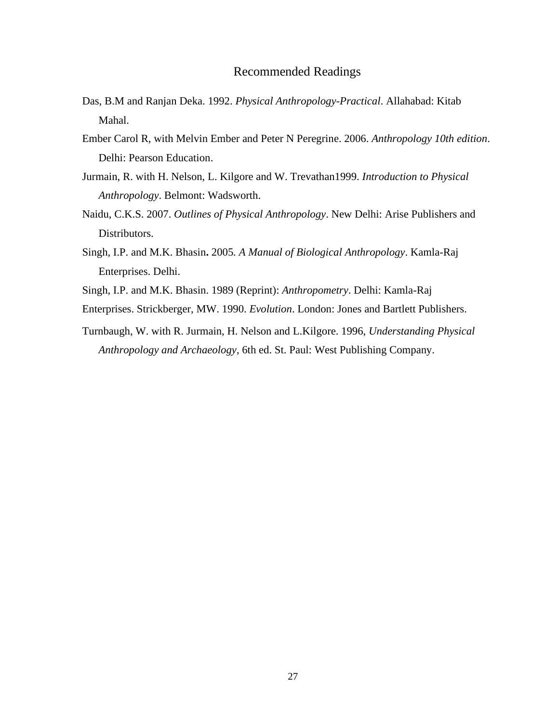- Das, B.M and Ranjan Deka. 1992. *Physical Anthropology-Practical*. Allahabad: Kitab Mahal.
- Ember Carol R, with Melvin Ember and Peter N Peregrine. 2006. *Anthropology 10th edition*. Delhi: Pearson Education.
- Jurmain, R. with H. Nelson, L. Kilgore and W. Trevathan1999. *Introduction to Physical Anthropology*. Belmont: Wadsworth.
- Naidu, C.K.S. 2007. *Outlines of Physical Anthropology*. New Delhi: Arise Publishers and Distributors.
- Singh, I.P. and M.K. Bhasin**.** 2005*. A Manual of Biological Anthropology*. Kamla-Raj Enterprises. Delhi.
- Singh, I.P. and M.K. Bhasin. 1989 (Reprint): *Anthropometry*. Delhi: Kamla-Raj
- Enterprises. Strickberger, MW. 1990. *Evolution*. London: Jones and Bartlett Publishers.
- Turnbaugh, W. with R. Jurmain, H. Nelson and L.Kilgore. 1996, *Understanding Physical Anthropology and Archaeology*, 6th ed. St. Paul: West Publishing Company.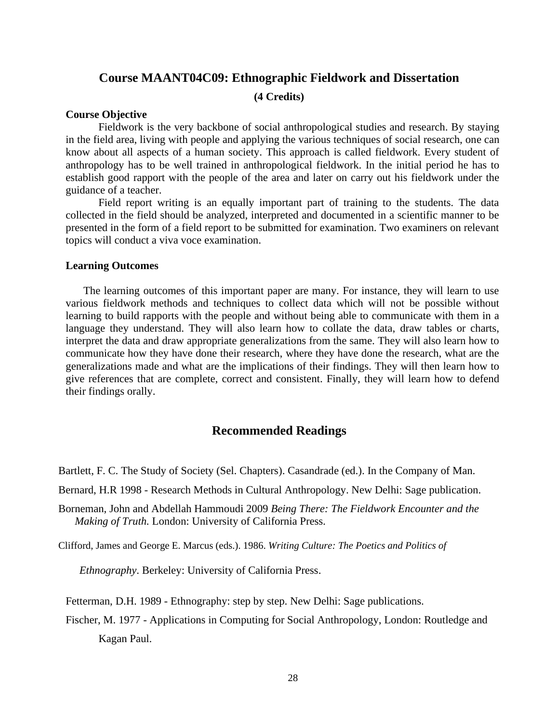## **Course MAANT04C09: Ethnographic Fieldwork and Dissertation**

## **(4 Credits)**

#### **Course Objective**

Fieldwork is the very backbone of social anthropological studies and research. By staying in the field area, living with people and applying the various techniques of social research, one can know about all aspects of a human society. This approach is called fieldwork. Every student of anthropology has to be well trained in anthropological fieldwork. In the initial period he has to establish good rapport with the people of the area and later on carry out his fieldwork under the guidance of a teacher.

Field report writing is an equally important part of training to the students. The data collected in the field should be analyzed, interpreted and documented in a scientific manner to be presented in the form of a field report to be submitted for examination. Two examiners on relevant topics will conduct a viva voce examination.

#### **Learning Outcomes**

The learning outcomes of this important paper are many. For instance, they will learn to use various fieldwork methods and techniques to collect data which will not be possible without learning to build rapports with the people and without being able to communicate with them in a language they understand. They will also learn how to collate the data, draw tables or charts, interpret the data and draw appropriate generalizations from the same. They will also learn how to communicate how they have done their research, where they have done the research, what are the generalizations made and what are the implications of their findings. They will then learn how to give references that are complete, correct and consistent. Finally, they will learn how to defend their findings orally.

## **Recommended Readings**

Bartlett, F. C. The Study of Society (Sel. Chapters). Casandrade (ed.). In the Company of Man.

Bernard, H.R 1998 - Research Methods in Cultural Anthropology. New Delhi: Sage publication.

Borneman, John and Abdellah Hammoudi 2009 *Being There: The Fieldwork Encounter and the Making of Truth.* London: University of California Press.

Clifford, James and George E. Marcus (eds.). 1986. *Writing Culture: The Poetics and Politics of* 

 *Ethnography*. Berkeley: University of California Press.

Fetterman, D.H. 1989 - Ethnography: step by step. New Delhi: Sage publications.

Fischer, M. 1977 - Applications in Computing for Social Anthropology, London: Routledge and Kagan Paul.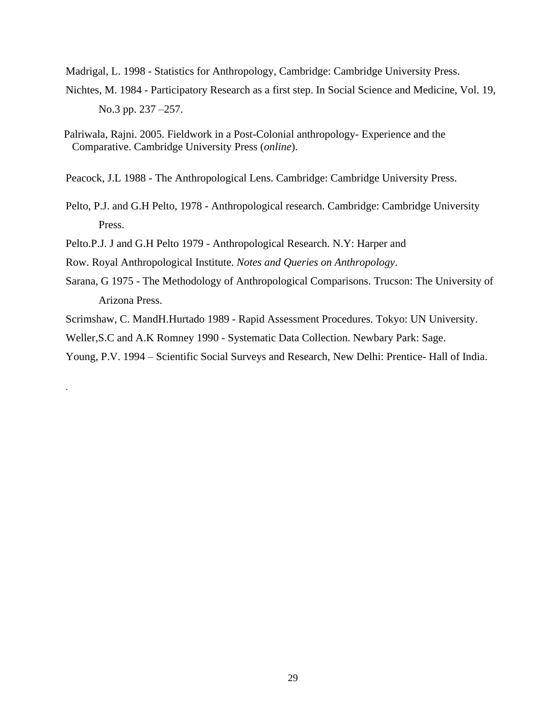Madrigal, L. 1998 - Statistics for Anthropology, Cambridge: Cambridge University Press.

- Nichtes, M. 1984 Participatory Research as a first step. In Social Science and Medicine, Vol. 19, No.3 pp. 237 –257.
- Palriwala, Rajni. 2005. Fieldwork in a Post-Colonial anthropology- Experience and the Comparative. Cambridge University Press (*online*).
- Peacock, J.L 1988 The Anthropological Lens. Cambridge: Cambridge University Press.
- Pelto, P.J. and G.H Pelto, 1978 Anthropological research. Cambridge: Cambridge University Press.
- Pelto.P.J. J and G.H Pelto 1979 Anthropological Research. N.Y: Harper and

Row. Royal Anthropological Institute. *Notes and Queries on Anthropology*.

.

- Sarana, G 1975 The Methodology of Anthropological Comparisons. Trucson: The University of Arizona Press.
- Scrimshaw, C. MandH.Hurtado 1989 Rapid Assessment Procedures. Tokyo: UN University.

Weller,S.C and A.K Romney 1990 - Systematic Data Collection. Newbary Park: Sage.

Young, P.V. 1994 – Scientific Social Surveys and Research, New Delhi: Prentice- Hall of India.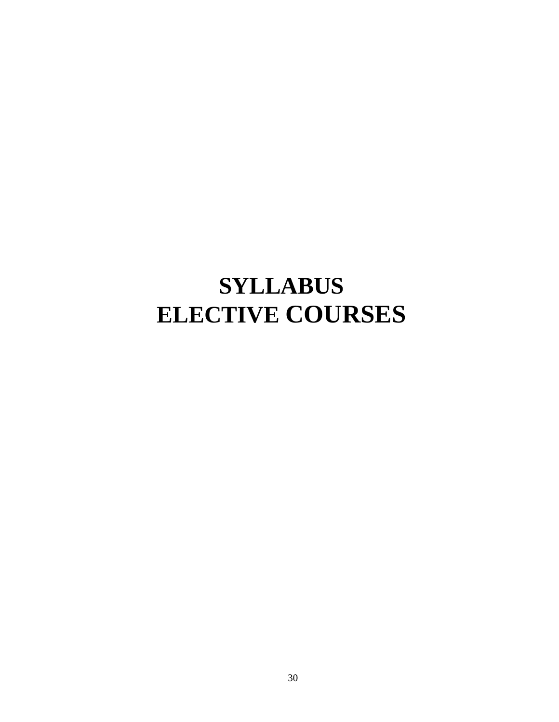## **SYLLABUS ELECTIVE COURSES**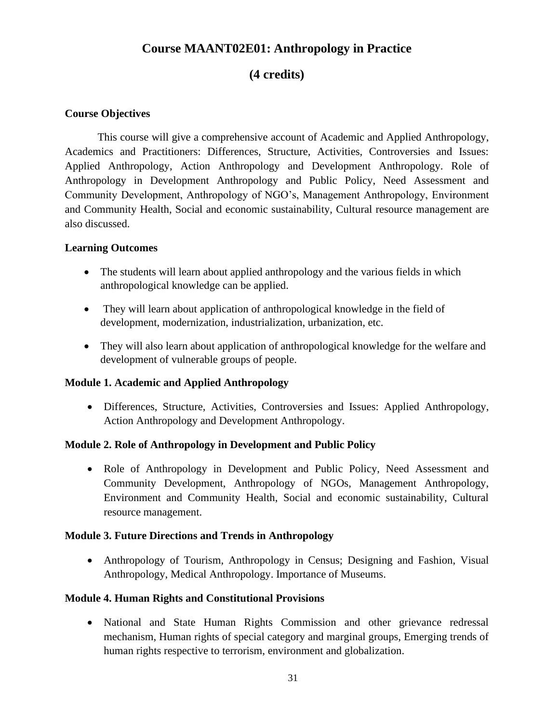## **Course MAANT02E01: Anthropology in Practice**

## **(4 credits)**

## **Course Objectives**

This course will give a comprehensive account of Academic and Applied Anthropology, Academics and Practitioners: Differences, Structure, Activities, Controversies and Issues: Applied Anthropology, Action Anthropology and Development Anthropology. Role of Anthropology in Development Anthropology and Public Policy, Need Assessment and Community Development, Anthropology of NGO's, Management Anthropology, Environment and Community Health, Social and economic sustainability, Cultural resource management are also discussed.

## **Learning Outcomes**

- The students will learn about applied anthropology and the various fields in which anthropological knowledge can be applied.
- They will learn about application of anthropological knowledge in the field of development, modernization, industrialization, urbanization, etc.
- They will also learn about application of anthropological knowledge for the welfare and development of vulnerable groups of people.

## **Module 1. Academic and Applied Anthropology**

• Differences, Structure, Activities, Controversies and Issues: Applied Anthropology, Action Anthropology and Development Anthropology.

## **Module 2. Role of Anthropology in Development and Public Policy**

• Role of Anthropology in Development and Public Policy, Need Assessment and Community Development, Anthropology of NGOs, Management Anthropology, Environment and Community Health, Social and economic sustainability, Cultural resource management.

## **Module 3. Future Directions and Trends in Anthropology**

• Anthropology of Tourism, Anthropology in Census; Designing and Fashion, Visual Anthropology, Medical Anthropology. Importance of Museums.

## **Module 4. Human Rights and Constitutional Provisions**

• National and State Human Rights Commission and other grievance redressal mechanism, Human rights of special category and marginal groups, Emerging trends of human rights respective to terrorism, environment and globalization.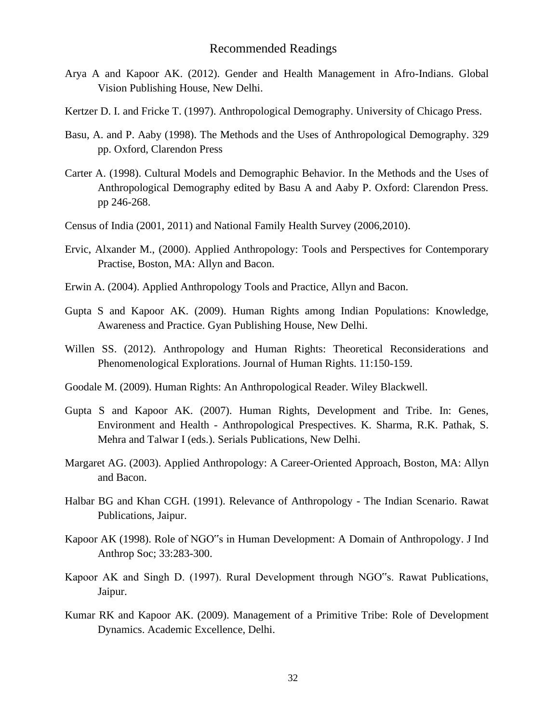- Arya A and Kapoor AK. (2012). Gender and Health Management in Afro-Indians. Global Vision Publishing House, New Delhi.
- Kertzer D. I. and Fricke T. (1997). Anthropological Demography. University of Chicago Press.
- Basu, A. and P. Aaby (1998). The Methods and the Uses of Anthropological Demography. 329 pp. Oxford, Clarendon Press
- Carter A. (1998). Cultural Models and Demographic Behavior. In the Methods and the Uses of Anthropological Demography edited by Basu A and Aaby P. Oxford: Clarendon Press. pp 246-268.
- Census of India (2001, 2011) and National Family Health Survey (2006,2010).
- Ervic, Alxander M., (2000). Applied Anthropology: Tools and Perspectives for Contemporary Practise, Boston, MA: Allyn and Bacon.
- Erwin A. (2004). Applied Anthropology Tools and Practice, Allyn and Bacon.
- Gupta S and Kapoor AK. (2009). Human Rights among Indian Populations: Knowledge, Awareness and Practice. Gyan Publishing House, New Delhi.
- Willen SS. (2012). Anthropology and Human Rights: Theoretical Reconsiderations and Phenomenological Explorations. Journal of Human Rights. 11:150-159.
- Goodale M. (2009). Human Rights: An Anthropological Reader. Wiley Blackwell.
- Gupta S and Kapoor AK. (2007). Human Rights, Development and Tribe. In: Genes, Environment and Health - Anthropological Prespectives. K. Sharma, R.K. Pathak, S. Mehra and Talwar I (eds.). Serials Publications, New Delhi.
- Margaret AG. (2003). Applied Anthropology: A Career-Oriented Approach, Boston, MA: Allyn and Bacon.
- Halbar BG and Khan CGH. (1991). Relevance of Anthropology The Indian Scenario. Rawat Publications, Jaipur.
- Kapoor AK (1998). Role of NGO"s in Human Development: A Domain of Anthropology. J Ind Anthrop Soc; 33:283-300.
- Kapoor AK and Singh D. (1997). Rural Development through NGO"s. Rawat Publications, Jaipur.
- Kumar RK and Kapoor AK. (2009). Management of a Primitive Tribe: Role of Development Dynamics. Academic Excellence, Delhi.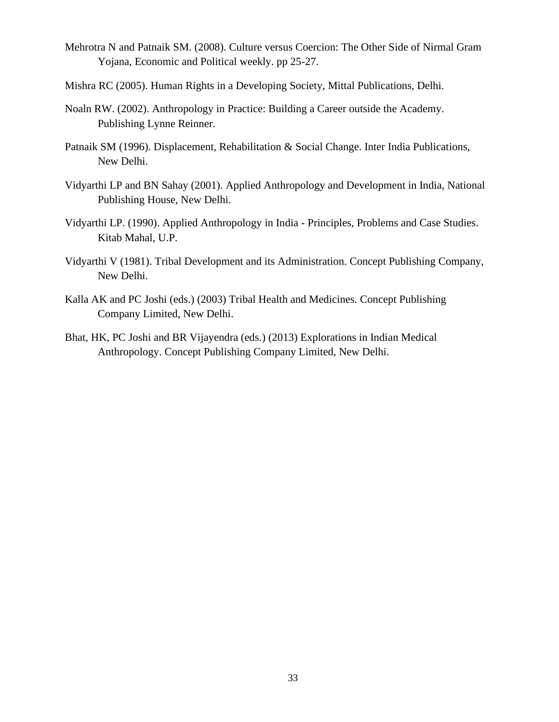- Mehrotra N and Patnaik SM. (2008). Culture versus Coercion: The Other Side of Nirmal Gram Yojana, Economic and Political weekly. pp 25-27.
- Mishra RC (2005). Human Rights in a Developing Society, Mittal Publications, Delhi.
- Noaln RW. (2002). Anthropology in Practice: Building a Career outside the Academy. Publishing Lynne Reinner.
- Patnaik SM (1996). Displacement, Rehabilitation & Social Change. Inter India Publications, New Delhi.
- Vidyarthi LP and BN Sahay (2001). Applied Anthropology and Development in India, National Publishing House, New Delhi.
- Vidyarthi LP. (1990). Applied Anthropology in India Principles, Problems and Case Studies. Kitab Mahal, U.P.
- Vidyarthi V (1981). Tribal Development and its Administration. Concept Publishing Company, New Delhi.
- Kalla AK and PC Joshi (eds.) (2003) Tribal Health and Medicines. Concept Publishing Company Limited, New Delhi.
- Bhat, HK, PC Joshi and BR Vijayendra (eds.) (2013) Explorations in Indian Medical Anthropology. Concept Publishing Company Limited, New Delhi.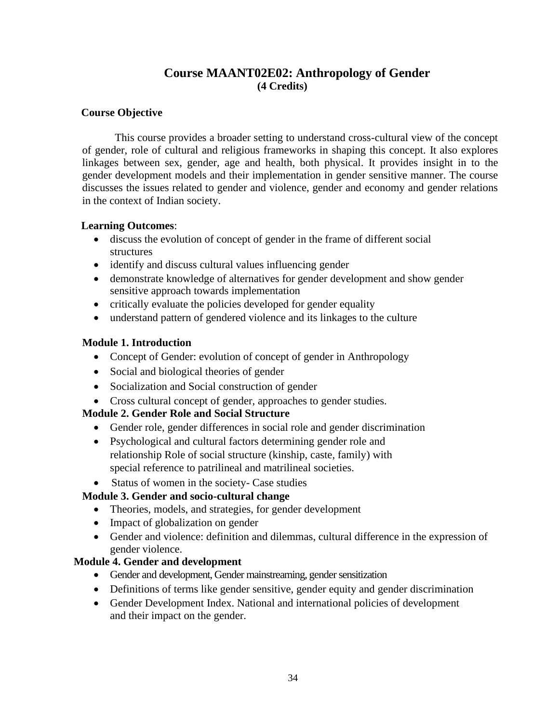## **Course MAANT02E02: Anthropology of Gender (4 Credits)**

## **Course Objective**

This course provides a broader setting to understand cross-cultural view of the concept of gender, role of cultural and religious frameworks in shaping this concept. It also explores linkages between sex, gender, age and health, both physical. It provides insight in to the gender development models and their implementation in gender sensitive manner. The course discusses the issues related to gender and violence, gender and economy and gender relations in the context of Indian society.

## **Learning Outcomes**:

- discuss the evolution of concept of gender in the frame of different social structures
- identify and discuss cultural values influencing gender
- demonstrate knowledge of alternatives for gender development and show gender sensitive approach towards implementation
- critically evaluate the policies developed for gender equality
- understand pattern of gendered violence and its linkages to the culture

## **Module 1. Introduction**

- Concept of Gender: evolution of concept of gender in Anthropology
- Social and biological theories of gender
- Socialization and Social construction of gender
- Cross cultural concept of gender, approaches to gender studies.

## **Module 2. Gender Role and Social Structure**

- Gender role, gender differences in social role and gender discrimination
- Psychological and cultural factors determining gender role and relationship Role of social structure (kinship, caste, family) with special reference to patrilineal and matrilineal societies.
- Status of women in the society- Case studies

## **Module 3. Gender and socio-cultural change**

- Theories, models, and strategies, for gender development
- Impact of globalization on gender
- Gender and violence: definition and dilemmas, cultural difference in the expression of gender violence.

## **Module 4. Gender and development**

- Gender and development, Gender mainstreaming, gender sensitization
- Definitions of terms like gender sensitive, gender equity and gender discrimination
- Gender Development Index. National and international policies of development and their impact on the gender.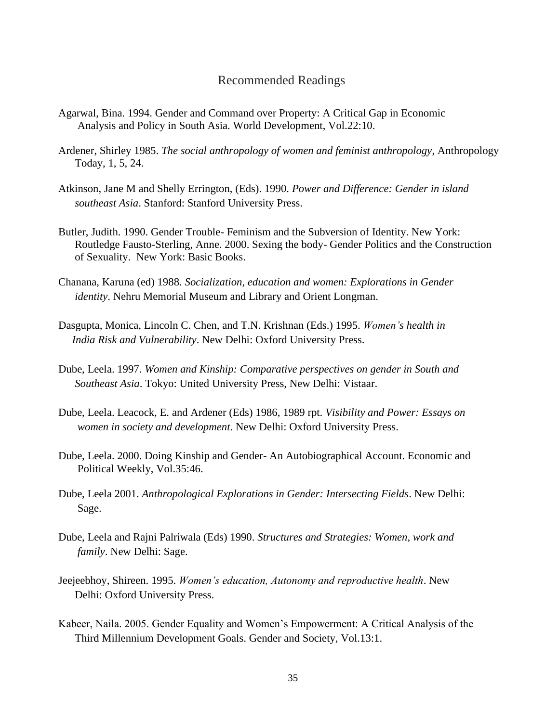- Agarwal, Bina. 1994. Gender and Command over Property: A Critical Gap in Economic Analysis and Policy in South Asia. World Development, Vol.22:10.
- Ardener, Shirley 1985. *The social anthropology of women and feminist anthropology*, Anthropology Today, 1, 5, 24.
- Atkinson, Jane M and Shelly Errington, (Eds). 1990. *Power and Difference: Gender in island southeast Asia*. Stanford: Stanford University Press.
- Butler, Judith. 1990. Gender Trouble- Feminism and the Subversion of Identity. New York: Routledge Fausto-Sterling, Anne. 2000. Sexing the body- Gender Politics and the Construction of Sexuality. New York: Basic Books.
- Chanana, Karuna (ed) 1988. *Socialization, education and women: Explorations in Gender identity*. Nehru Memorial Museum and Library and Orient Longman.
- Dasgupta, Monica, Lincoln C. Chen, and T.N. Krishnan (Eds.) 1995. *Women's health in India Risk and Vulnerability*. New Delhi: Oxford University Press.
- Dube, Leela. 1997. *Women and Kinship: Comparative perspectives on gender in South and Southeast Asia*. Tokyo: United University Press, New Delhi: Vistaar.
- Dube, Leela. Leacock, E. and Ardener (Eds) 1986, 1989 rpt. *Visibility and Power: Essays on women in society and development*. New Delhi: Oxford University Press.
- Dube, Leela. 2000. Doing Kinship and Gender- An Autobiographical Account. Economic and Political Weekly, Vol.35:46.
- Dube, Leela 2001. *Anthropological Explorations in Gender: Intersecting Fields*. New Delhi: Sage.
- Dube, Leela and Rajni Palriwala (Eds) 1990. *Structures and Strategies: Women, work and family*. New Delhi: Sage.
- Jeejeebhoy, Shireen. 1995. *Women's education, Autonomy and reproductive health*. New Delhi: Oxford University Press.
- Kabeer, Naila. 2005. Gender Equality and Women's Empowerment: A Critical Analysis of the Third Millennium Development Goals. Gender and Society, Vol.13:1.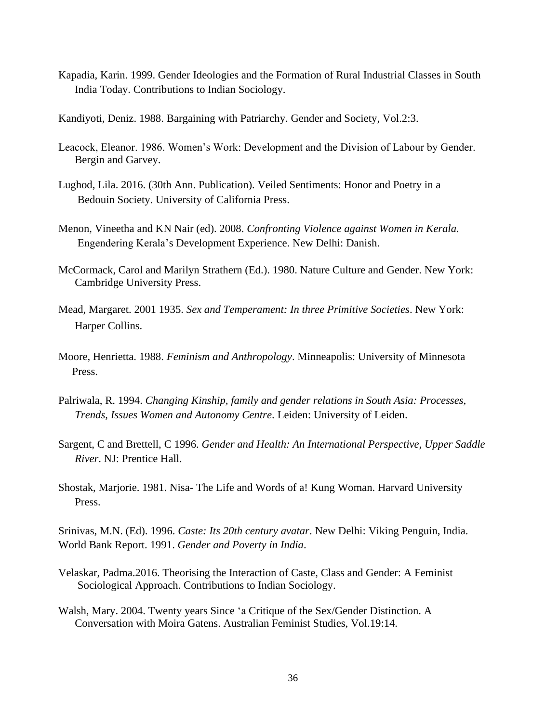Kapadia, Karin. 1999. Gender Ideologies and the Formation of Rural Industrial Classes in South India Today. Contributions to Indian Sociology.

Kandiyoti, Deniz. 1988. Bargaining with Patriarchy. Gender and Society, Vol.2:3.

- Leacock, Eleanor. 1986. Women's Work: Development and the Division of Labour by Gender. Bergin and Garvey.
- Lughod, Lila. 2016. (30th Ann. Publication). Veiled Sentiments: Honor and Poetry in a Bedouin Society. University of California Press.
- Menon, Vineetha and KN Nair (ed). 2008. *Confronting Violence against Women in Kerala.* Engendering Kerala's Development Experience. New Delhi: Danish.
- McCormack, Carol and Marilyn Strathern (Ed.). 1980. Nature Culture and Gender. New York: Cambridge University Press.
- Mead, Margaret. 2001 1935. *Sex and Temperament: In three Primitive Societies*. New York: Harper Collins.
- Moore, Henrietta. 1988. *Feminism and Anthropology*. Minneapolis: University of Minnesota Press.
- Palriwala, R. 1994. *Changing Kinship, family and gender relations in South Asia: Processes, Trends, Issues Women and Autonomy Centre*. Leiden: University of Leiden.
- Sargent, C and Brettell, C 1996. *Gender and Health: An International Perspective, Upper Saddle River*. NJ: Prentice Hall.
- Shostak, Marjorie. 1981. Nisa- The Life and Words of a! Kung Woman. Harvard University Press.

Srinivas, M.N. (Ed). 1996. *Caste: Its 20th century avatar*. New Delhi: Viking Penguin, India. World Bank Report. 1991. *Gender and Poverty in India*.

- Velaskar, Padma.2016. Theorising the Interaction of Caste, Class and Gender: A Feminist Sociological Approach. Contributions to Indian Sociology.
- Walsh, Mary. 2004. Twenty years Since 'a Critique of the Sex/Gender Distinction. A Conversation with Moira Gatens. Australian Feminist Studies, Vol.19:14.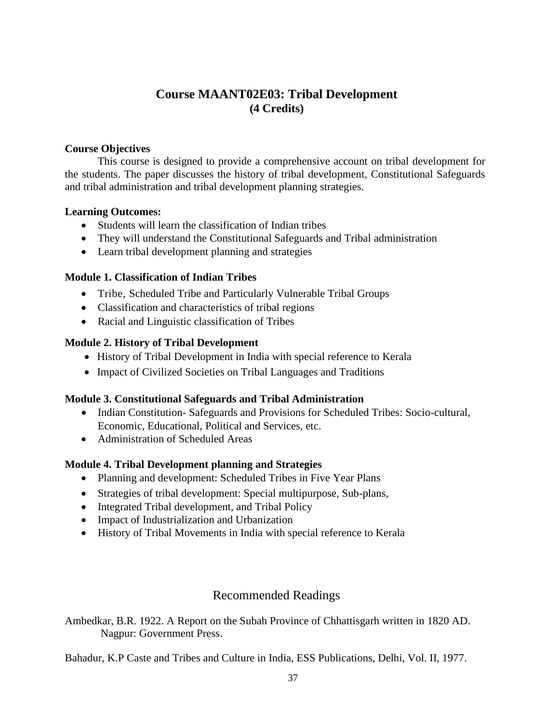## **Course MAANT02E03: Tribal Development (4 Credits)**

## **Course Objectives**

This course is designed to provide a comprehensive account on tribal development for the students. The paper discusses the history of tribal development, Constitutional Safeguards and tribal administration and tribal development planning strategies.

## **Learning Outcomes:**

- Students will learn the classification of Indian tribes
- They will understand the Constitutional Safeguards and Tribal administration
- Learn tribal development planning and strategies

## **Module 1. Classification of Indian Tribes**

- Tribe, Scheduled Tribe and Particularly Vulnerable Tribal Groups
- Classification and characteristics of tribal regions
- Racial and Linguistic classification of Tribes

## **Module 2. History of Tribal Development**

- History of Tribal Development in India with special reference to Kerala
- Impact of Civilized Societies on Tribal Languages and Traditions

## **Module 3. Constitutional Safeguards and Tribal Administration**

- Indian Constitution-Safeguards and Provisions for Scheduled Tribes: Socio-cultural, Economic, Educational, Political and Services, etc.
- Administration of Scheduled Areas

## **Module 4. Tribal Development planning and Strategies**

- Planning and development: Scheduled Tribes in Five Year Plans
- Strategies of tribal development: Special multipurpose, Sub-plans,
- Integrated Tribal development, and Tribal Policy
- Impact of Industrialization and Urbanization
- History of Tribal Movements in India with special reference to Kerala

## Recommended Readings

Ambedkar, B.R. 1922. A Report on the Subah Province of Chhattisgarh written in 1820 AD. Nagpur: Government Press.

Bahadur, K.P Caste and Tribes and Culture in India, ESS Publications, Delhi, Vol. II, 1977.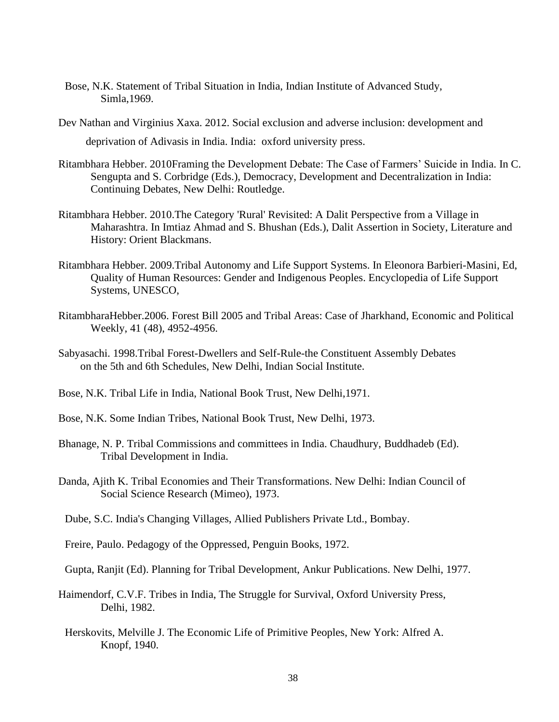- Bose, N.K. Statement of Tribal Situation in India, Indian Institute of Advanced Study, Simla,1969.
- Dev Nathan and Virginius Xaxa. 2012. Social exclusion and adverse inclusion: development and deprivation of Adivasis in India. India: oxford university press.
- Ritambhara Hebber. 2010Framing the Development Debate: The Case of Farmers' Suicide in India. In C. Sengupta and S. Corbridge (Eds.), Democracy, Development and Decentralization in India: Continuing Debates, New Delhi: Routledge.
- Ritambhara Hebber. 2010.The Category 'Rural' Revisited: A Dalit Perspective from a Village in Maharashtra. In Imtiaz Ahmad and S. Bhushan (Eds.), Dalit Assertion in Society, Literature and History: Orient Blackmans.
- Ritambhara Hebber. 2009.Tribal Autonomy and Life Support Systems. In Eleonora Barbieri-Masini, Ed, Quality of Human Resources: Gender and Indigenous Peoples. Encyclopedia of Life Support Systems, UNESCO,
- RitambharaHebber.2006. Forest Bill 2005 and Tribal Areas: Case of Jharkhand, Economic and Political Weekly, 41 (48), 4952-4956.
- Sabyasachi. 1998.Tribal Forest-Dwellers and Self-Rule-the Constituent Assembly Debates on the 5th and 6th Schedules, New Delhi, Indian Social Institute.
- Bose, N.K. Tribal Life in India, National Book Trust, New Delhi,1971.
- Bose, N.K. Some Indian Tribes, National Book Trust, New Delhi, 1973.
- Bhanage, N. P. Tribal Commissions and committees in India. Chaudhury, Buddhadeb (Ed). Tribal Development in India.
- Danda, Ajith K. Tribal Economies and Their Transformations. New Delhi: Indian Council of Social Science Research (Mimeo), 1973.
- Dube, S.C. India's Changing Villages, Allied Publishers Private Ltd., Bombay.
- Freire, Paulo. Pedagogy of the Oppressed, Penguin Books, 1972.
- Gupta, Ranjit (Ed). Planning for Tribal Development, Ankur Publications. New Delhi, 1977.
- Haimendorf, C.V.F. Tribes in India, The Struggle for Survival, Oxford University Press, Delhi, 1982.
	- Herskovits, Melville J. The Economic Life of Primitive Peoples, New York: Alfred A. Knopf, 1940.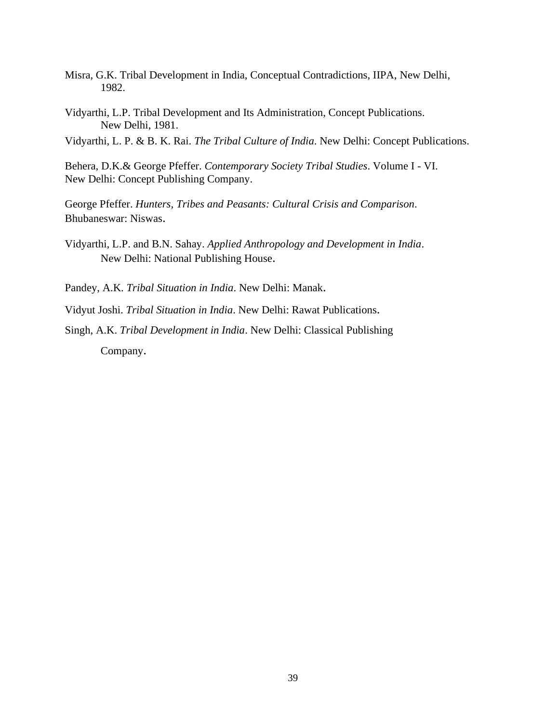- Misra, G.K. Tribal Development in India, Conceptual Contradictions, IIPA, New Delhi, 1982.
- Vidyarthi, L.P. Tribal Development and Its Administration, Concept Publications. New Delhi, 1981.

Vidyarthi, L. P. & B. K. Rai. *The Tribal Culture of India*. New Delhi: Concept Publications.

Behera, D.K.& George Pfeffer. *Contemporary Society Tribal Studies*. Volume I - VI. New Delhi: Concept Publishing Company.

George Pfeffer. *Hunters, Tribes and Peasants: Cultural Crisis and Comparison*. Bhubaneswar: Niswas.

Vidyarthi, L.P. and B.N. Sahay. *Applied Anthropology and Development in India*. New Delhi: National Publishing House.

Pandey, A.K. *Tribal Situation in India*. New Delhi: Manak.

Vidyut Joshi. *Tribal Situation in India*. New Delhi: Rawat Publications.

Singh, A.K. *Tribal Development in India*. New Delhi: Classical Publishing Company.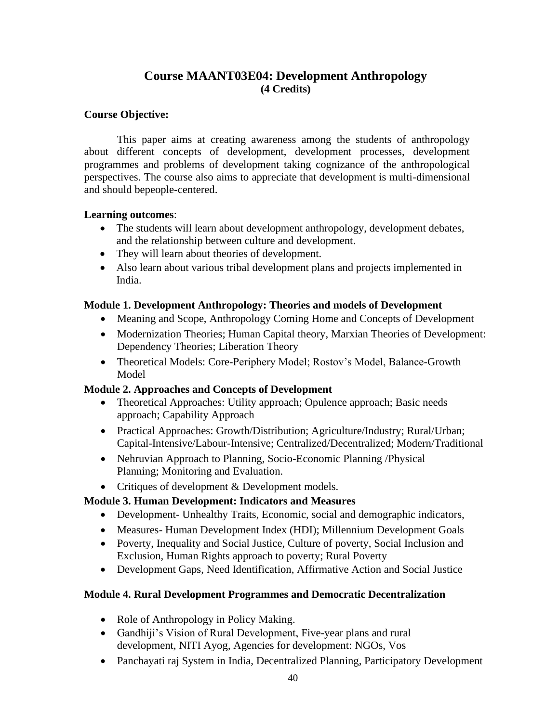## **Course MAANT03E04: Development Anthropology (4 Credits)**

## **Course Objective:**

This paper aims at creating awareness among the students of anthropology about different concepts of development, development processes, development programmes and problems of development taking cognizance of the anthropological perspectives. The course also aims to appreciate that development is multi-dimensional and should bepeople-centered.

## **Learning outcomes**:

- The students will learn about development anthropology, development debates, and the relationship between culture and development.
- They will learn about theories of development.
- Also learn about various tribal development plans and projects implemented in India.

## **Module 1. Development Anthropology: Theories and models of Development**

- Meaning and Scope, Anthropology Coming Home and Concepts of Development
- Modernization Theories; Human Capital theory, Marxian Theories of Development: Dependency Theories; Liberation Theory
- Theoretical Models: Core-Periphery Model; Rostov's Model, Balance-Growth Model

## **Module 2. Approaches and Concepts of Development**

- Theoretical Approaches: Utility approach; Opulence approach; Basic needs approach; Capability Approach
- Practical Approaches: Growth/Distribution; Agriculture/Industry; Rural/Urban; Capital-Intensive/Labour-Intensive; Centralized/Decentralized; Modern/Traditional
- Nehruvian Approach to Planning, Socio-Economic Planning / Physical Planning; Monitoring and Evaluation.
- Critiques of development & Development models.

## **Module 3. Human Development: Indicators and Measures**

- Development- Unhealthy Traits, Economic, social and demographic indicators,
- Measures- Human Development Index (HDI); Millennium Development Goals
- Poverty, Inequality and Social Justice, Culture of poverty, Social Inclusion and Exclusion, Human Rights approach to poverty; Rural Poverty
- Development Gaps, Need Identification, Affirmative Action and Social Justice

## **Module 4. Rural Development Programmes and Democratic Decentralization**

- Role of Anthropology in Policy Making.
- Gandhiji's Vision of Rural Development, Five-year plans and rural development, NITI Ayog, Agencies for development: NGOs, Vos
- Panchayati raj System in India, Decentralized Planning, Participatory Development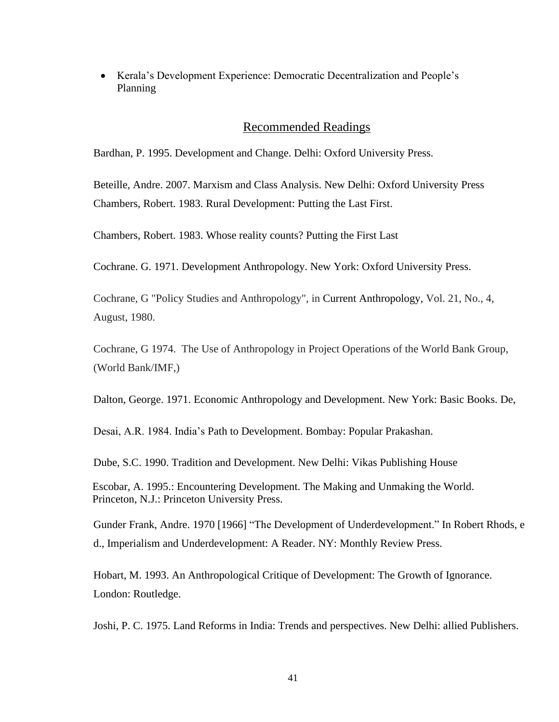• Kerala's Development Experience: Democratic Decentralization and People's Planning

#### Recommended Readings

Bardhan, P. 1995. Development and Change. Delhi: Oxford University Press.

Beteille, Andre. 2007. Marxism and Class Analysis. New Delhi: Oxford University Press Chambers, Robert. 1983. Rural Development: Putting the Last First.

Chambers, Robert. 1983. Whose reality counts? Putting the First Last

Cochrane. G. 1971. Development Anthropology. New York: Oxford University Press.

Cochrane, G "Policy Studies and Anthropology", in [Current Anthropology,](https://en.wikipedia.org/wiki/Current_Anthropology) Vol. 21, No., 4, August, 1980.

Cochrane, G 1974. The Use of Anthropology in Project Operations of the World Bank Group, (World Bank/IMF,)

Dalton, George. 1971. Economic Anthropology and Development. New York: Basic Books. De,

Desai, A.R. 1984. India's Path to Development. Bombay: Popular Prakashan.

Dube, S.C. 1990. Tradition and Development. New Delhi: Vikas Publishing House

Escobar, A. 1995.: Encountering Development. The Making and Unmaking the World. Princeton, N.J.: Princeton University Press.

Gunder Frank, Andre. 1970 [1966] "The Development of Underdevelopment." In Robert Rhods, e d., Imperialism and Underdevelopment: A Reader. NY: Monthly Review Press.

Hobart, M. 1993. An Anthropological Critique of Development: The Growth of Ignorance. London: Routledge.

Joshi, P. C. 1975. Land Reforms in India: Trends and perspectives. New Delhi: allied Publishers.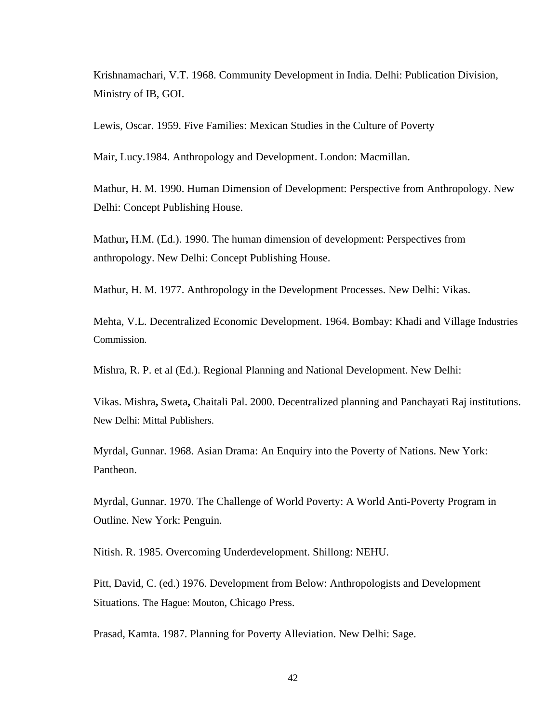Krishnamachari, V.T. 1968. Community Development in India. Delhi: Publication Division, Ministry of IB, GOI.

Lewis, Oscar. 1959. Five Families: Mexican Studies in the Culture of Poverty

Mair, Lucy.1984. Anthropology and Development. London: Macmillan.

Mathur, H. M. 1990. Human Dimension of Development: Perspective from Anthropology. New Delhi: Concept Publishing House.

Mathur**,** H.M. (Ed.). 1990. The human dimension of development: Perspectives from anthropology. New Delhi: Concept Publishing House.

Mathur, H. M. 1977. Anthropology in the Development Processes. New Delhi: Vikas.

Mehta, V.L. Decentralized Economic Development. 1964. Bombay: Khadi and Village Industries Commission.

Mishra, R. P. et al (Ed.). Regional Planning and National Development. New Delhi:

Vikas. Mishra**,** [Sweta](http://www.google.co.in/search?tbs=bks%3A1&%3Btbo=p&%3Bq=%2Binauthor%3A%22Sweta%2BMishra%22&%3Bsource=gbs_metadata_r&%3Bcad=7)**,** [Chaitali Pal.](http://www.google.co.in/search?tbs=bks%3A1&%3Btbo=p&%3Bq=%2Binauthor%3A%22Sweta%2BMishra%22&%3Bsource=gbs_metadata_r&%3Bcad=7) 2000. Decentralized planning and Panchayati Raj institutions. New Delhi: Mittal Publishers.

Myrdal, Gunnar. 1968. Asian Drama: An Enquiry into the Poverty of Nations. New York: Pantheon.

Myrdal, Gunnar. 1970. The Challenge of World Poverty: A World Anti-Poverty Program in Outline. New York: Penguin.

Nitish. R. 1985. Overcoming Underdevelopment. Shillong: NEHU.

Pitt, David, C. (ed.) 1976. Development from Below: Anthropologists and Development Situations. The Hague: Mouton, Chicago Press.

Prasad, Kamta. 1987. Planning for Poverty Alleviation. New Delhi: Sage.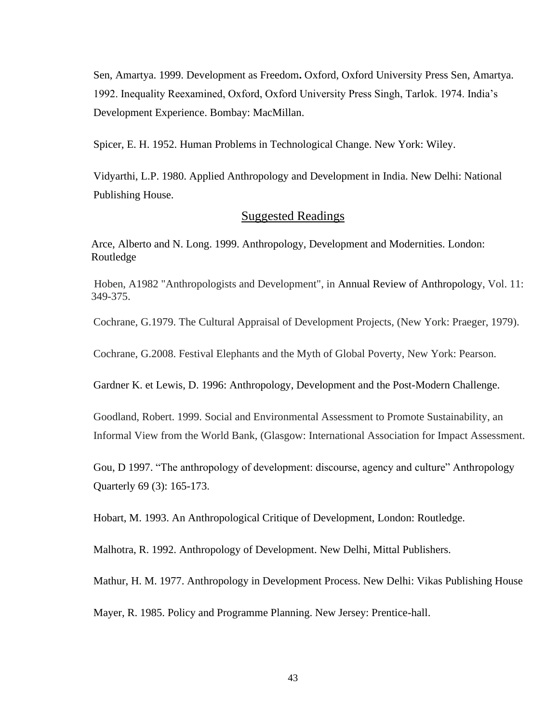Sen, Amartya. 1999. [Development as Freedom](http://en.wikipedia.org/wiki/Development_as_Freedom)**.** Oxford, Oxford University Press Sen, Amartya. 1992. Inequality Reexamined, Oxford, Oxford University Press Singh, Tarlok. 1974. India's Development Experience. Bombay: MacMillan.

Spicer, E. H. 1952. Human Problems in Technological Change. New York: Wiley.

Vidyarthi, L.P. 1980. Applied Anthropology and Development in India. New Delhi: National Publishing House.

## Suggested Readings

Arce, Alberto and N. Long. 1999. Anthropology, Development and Modernities. London: Routledge

Hoben, A1982 "Anthropologists and Development", in [Annual Review of Anthropology,](https://en.wikipedia.org/wiki/Annual_Review_of_Anthropology) Vol. 11: 349-375.

Cochrane, G.1979. The Cultural Appraisal of Development Projects, (New York: Praeger, 1979).

Cochrane, G.2008. Festival Elephants and the Myth of Global Poverty, New York: Pearson.

Gardner K. et Lewis, D. 1996: Anthropology, Development and the Post-Modern Challenge.

Goodland, Robert. 1999. Social and Environmental Assessment to Promote Sustainability, an Informal View from the World Bank, (Glasgow: International Association for Impact Assessment.

Gou, D 1997. "The anthropology of development: discourse, agency and culture" Anthropology Quarterly 69 (3): 165-173.

Hobart, M. 1993. An Anthropological Critique of Development, London: Routledge.

Malhotra, R. 1992. Anthropology of Development. New Delhi, Mittal Publishers.

Mathur, H. M. 1977. Anthropology in Development Process. New Delhi: Vikas Publishing House

Mayer, R. 1985. Policy and Programme Planning. New Jersey: Prentice-hall.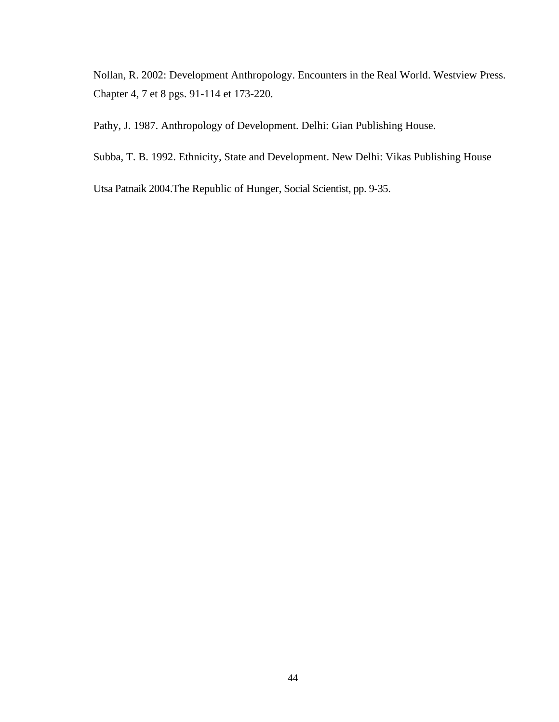Nollan, R. 2002: Development Anthropology. Encounters in the Real World. Westview Press. Chapter 4, 7 et 8 pgs. 91-114 et 173-220.

Pathy, J. 1987. Anthropology of Development. Delhi: Gian Publishing House.

Subba, T. B. 1992. Ethnicity, State and Development. New Delhi: Vikas Publishing House

Utsa Patnaik 2004.The Republic of Hunger, Social Scientist, pp. 9-35.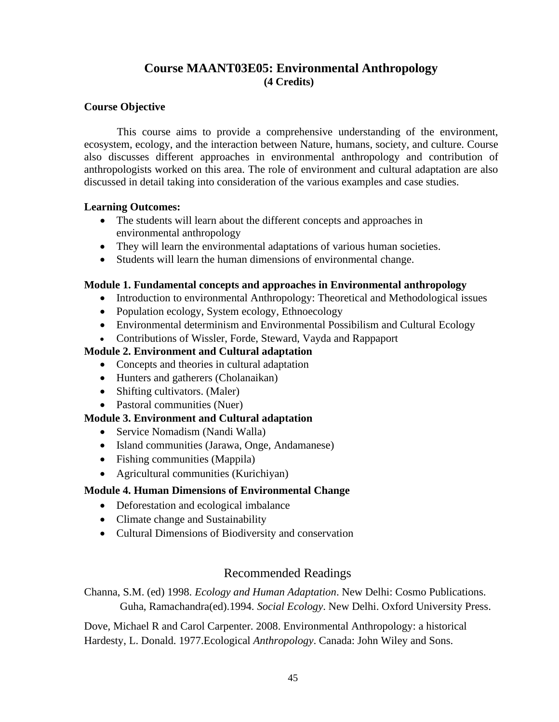## **Course MAANT03E05: Environmental Anthropology (4 Credits)**

## **Course Objective**

This course aims to provide a comprehensive understanding of the environment, ecosystem, ecology, and the interaction between Nature, humans, society, and culture. Course also discusses different approaches in environmental anthropology and contribution of anthropologists worked on this area. The role of environment and cultural adaptation are also discussed in detail taking into consideration of the various examples and case studies.

## **Learning Outcomes:**

- The students will learn about the different concepts and approaches in environmental anthropology
- They will learn the environmental adaptations of various human societies.
- Students will learn the human dimensions of environmental change.

## **Module 1. Fundamental concepts and approaches in Environmental anthropology**

- Introduction to environmental Anthropology: Theoretical and Methodological issues
- Population ecology, System ecology, Ethnoecology
- Environmental determinism and Environmental Possibilism and Cultural Ecology
- Contributions of Wissler, Forde, Steward, Vayda and Rappaport

## **Module 2. Environment and Cultural adaptation**

- Concepts and theories in cultural adaptation
- Hunters and gatherers (Cholanaikan)
- Shifting cultivators. (Maler)
- Pastoral communities (Nuer)

## **Module 3. Environment and Cultural adaptation**

- Service Nomadism (Nandi Walla)
- Island communities (Jarawa, Onge, Andamanese)
- Fishing communities (Mappila)
- Agricultural communities (Kurichiyan)

## **Module 4. Human Dimensions of Environmental Change**

- Deforestation and ecological imbalance
- Climate change and Sustainability
- Cultural Dimensions of Biodiversity and conservation

## Recommended Readings

Channa, S.M. (ed) 1998. *Ecology and Human Adaptation*. New Delhi: Cosmo Publications. Guha, Ramachandra(ed).1994. *Social Ecology*. New Delhi. Oxford University Press.

Dove, Michael R and Carol Carpenter. 2008. Environmental Anthropology: a historical Hardesty, L. Donald. 1977.Ecological *Anthropology*. Canada: John Wiley and Sons.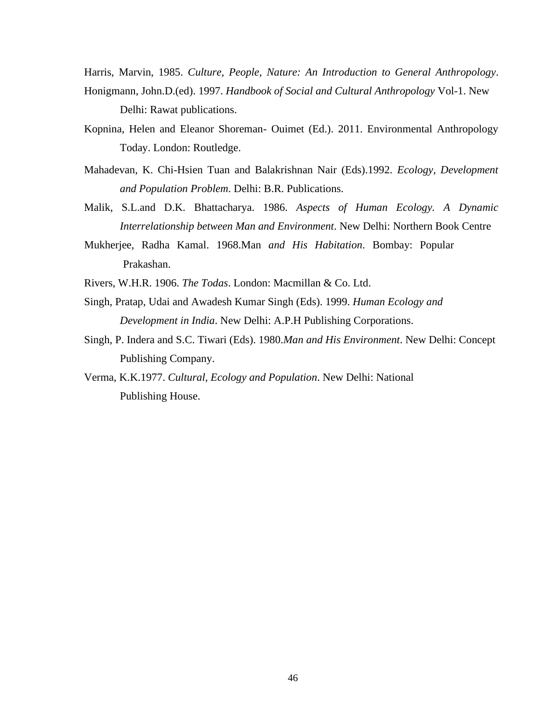Harris, Marvin, 1985. *Culture, People, Nature: An Introduction to General Anthropology*. Honigmann, John.D.(ed). 1997. *Handbook of Social and Cultural Anthropology* Vol-1. New Delhi: Rawat publications.

Kopnina, Helen and Eleanor Shoreman- Ouimet (Ed.). 2011. Environmental Anthropology Today. London: Routledge.

- Mahadevan, K. Chi-Hsien Tuan and Balakrishnan Nair (Eds).1992. *Ecology, Development and Population Problem*. Delhi: B.R. Publications.
- Malik, S.L.and D.K. Bhattacharya. 1986. *Aspects of Human Ecology. A Dynamic Interrelationship between Man and Environment*. New Delhi: Northern Book Centre
- Mukherjee, Radha Kamal. 1968.Man *and His Habitation*. Bombay: Popular Prakashan.

Rivers, W.H.R. 1906. *The Todas*. London: Macmillan & Co. Ltd.

- Singh, Pratap, Udai and Awadesh Kumar Singh (Eds). 1999. *Human Ecology and Development in India*. New Delhi: A.P.H Publishing Corporations.
- Singh, P. Indera and S.C. Tiwari (Eds). 1980.*Man and His Environment*. New Delhi: Concept Publishing Company.

Verma, K.K.1977. *Cultural, Ecology and Population*. New Delhi: National Publishing House.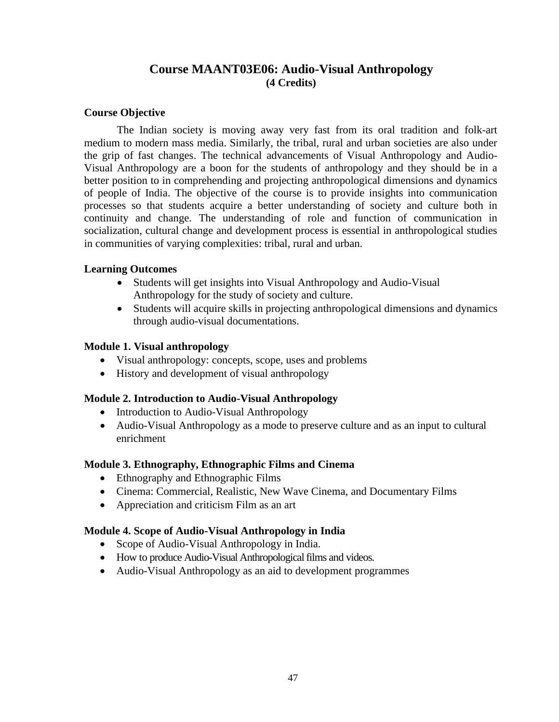## **Course MAANT03E06: Audio-Visual Anthropology (4 Credits)**

## **Course Objective**

The Indian society is moving away very fast from its oral tradition and folk-art medium to modern mass media. Similarly, the tribal, rural and urban societies are also under the grip of fast changes. The technical advancements of Visual Anthropology and Audio-Visual Anthropology are a boon for the students of anthropology and they should be in a better position to in comprehending and projecting anthropological dimensions and dynamics of people of India. The objective of the course is to provide insights into communication processes so that students acquire a better understanding of society and culture both in continuity and change. The understanding of role and function of communication in socialization, cultural change and development process is essential in anthropological studies in communities of varying complexities: tribal, rural and urban.

## **Learning Outcomes**

- Students will get insights into Visual Anthropology and Audio-Visual Anthropology for the study of society and culture.
- Students will acquire skills in projecting anthropological dimensions and dynamics through audio-visual documentations.

## **Module 1. Visual anthropology**

- Visual anthropology: concepts, scope, uses and problems
- History and development of visual anthropology

## **Module 2. Introduction to Audio-Visual Anthropology**

- Introduction to Audio-Visual Anthropology
- Audio-Visual Anthropology as a mode to preserve culture and as an input to cultural enrichment

## **Module 3. Ethnography, Ethnographic Films and Cinema**

- Ethnography and Ethnographic Films
- Cinema: Commercial, Realistic, New Wave Cinema, and Documentary Films
- Appreciation and criticism Film as an art

## **Module 4. Scope of Audio-Visual Anthropology in India**

- Scope of Audio-Visual Anthropology in India.
- How to produce Audio-Visual Anthropological films and videos.
- Audio-Visual Anthropology as an aid to development programmes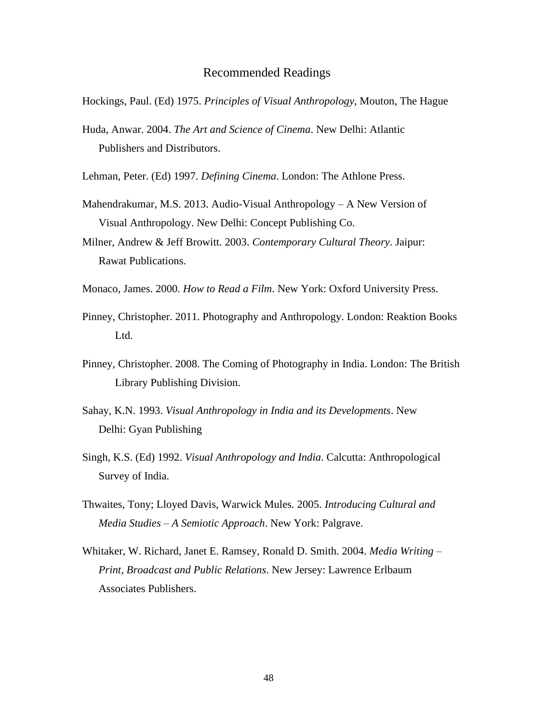- Hockings, Paul. (Ed) 1975. *Principles of Visual Anthropology*, Mouton, The Hague
- Huda, Anwar. 2004. *The Art and Science of Cinema*. New Delhi: Atlantic Publishers and Distributors.
- Lehman, Peter. (Ed) 1997. *Defining Cinema*. London: The Athlone Press.
- Mahendrakumar, M.S. 2013. Audio-Visual Anthropology A New Version of Visual Anthropology. New Delhi: Concept Publishing Co.
- Milner, Andrew & Jeff Browitt. 2003. *Contemporary Cultural Theory*. Jaipur: Rawat Publications.
- Monaco, James. 2000. *How to Read a Film*. New York: Oxford University Press.
- Pinney, Christopher. 2011. Photography and Anthropology. London: Reaktion Books Ltd.
- Pinney, Christopher. 2008. The Coming of Photography in India. London: The British Library Publishing Division.
- Sahay, K.N. 1993. *Visual Anthropology in India and its Developments*. New Delhi: Gyan Publishing
- Singh, K.S. (Ed) 1992. *Visual Anthropology and India*. Calcutta: Anthropological Survey of India.
- Thwaites, Tony; Lloyed Davis, Warwick Mules. 2005. *Introducing Cultural and Media Studies – A Semiotic Approach*. New York: Palgrave.
- Whitaker, W. Richard, Janet E. Ramsey, Ronald D. Smith. 2004. *Media Writing – Print, Broadcast and Public Relations*. New Jersey: Lawrence Erlbaum Associates Publishers.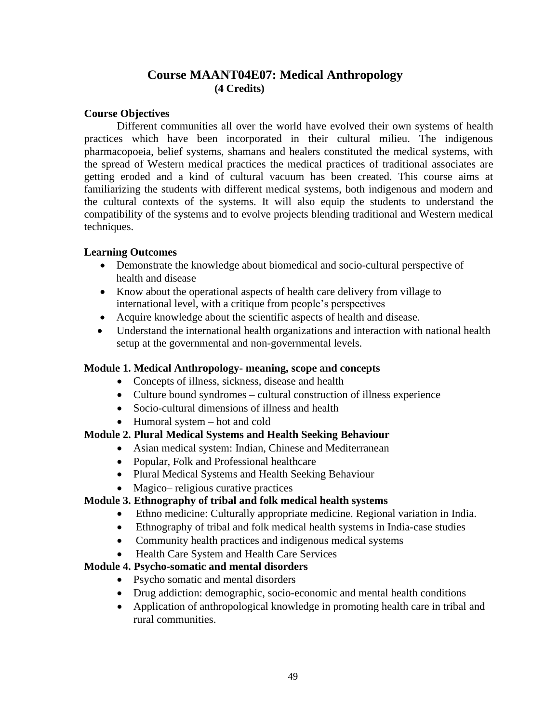## **Course MAANT04E07: Medical Anthropology (4 Credits)**

## **Course Objectives**

Different communities all over the world have evolved their own systems of health practices which have been incorporated in their cultural milieu. The indigenous pharmacopoeia, belief systems, shamans and healers constituted the medical systems, with the spread of Western medical practices the medical practices of traditional associates are getting eroded and a kind of cultural vacuum has been created. This course aims at familiarizing the students with different medical systems, both indigenous and modern and the cultural contexts of the systems. It will also equip the students to understand the compatibility of the systems and to evolve projects blending traditional and Western medical techniques.

## **Learning Outcomes**

- Demonstrate the knowledge about biomedical and socio-cultural perspective of health and disease
- Know about the operational aspects of health care delivery from village to international level, with a critique from people's perspectives
- Acquire knowledge about the scientific aspects of health and disease.
- Understand the international health organizations and interaction with national health setup at the governmental and non-governmental levels.

## **Module 1. Medical Anthropology- meaning, scope and concepts**

- Concepts of illness, sickness, disease and health
- Culture bound syndromes cultural construction of illness experience
- Socio-cultural dimensions of illness and health
- Humoral system hot and cold

## **Module 2. Plural Medical Systems and Health Seeking Behaviour**

- Asian medical system: Indian, Chinese and Mediterranean
- Popular, Folk and Professional healthcare
- Plural Medical Systems and Health Seeking Behaviour
- Magico– religious curative practices

#### **Module 3. Ethnography of tribal and folk medical health systems**

- Ethno medicine: Culturally appropriate medicine. Regional variation in India.
- Ethnography of tribal and folk medical health systems in India-case studies
- Community health practices and indigenous medical systems
- Health Care System and Health Care Services

## **Module 4. Psycho-somatic and mental disorders**

- Psycho somatic and mental disorders
- Drug addiction: demographic, socio-economic and mental health conditions
- Application of anthropological knowledge in promoting health care in tribal and rural communities.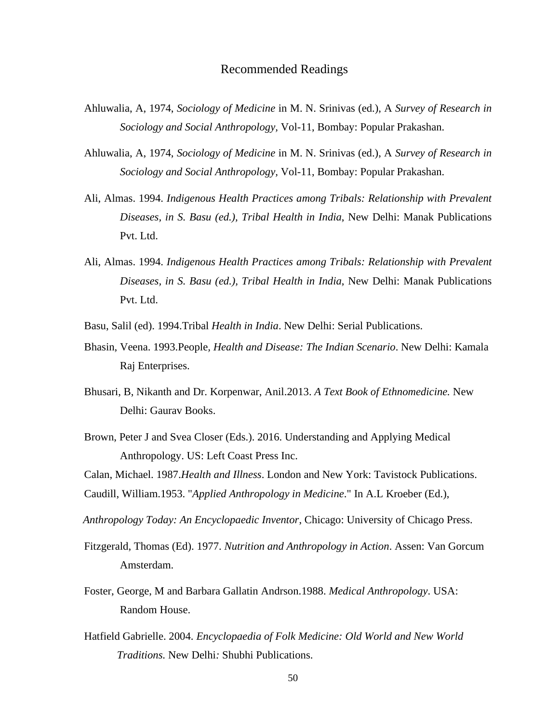- Ahluwalia, A, 1974, *Sociology of Medicine* in M. N. Srinivas (ed.), A *Survey of Research in Sociology and Social Anthropology,* Vol-11, Bombay: Popular Prakashan.
- Ahluwalia, A, 1974, *Sociology of Medicine* in M. N. Srinivas (ed.), A *Survey of Research in Sociology and Social Anthropology,* Vol-11, Bombay: Popular Prakashan.
- Ali, Almas. 1994. *Indigenous Health Practices among Tribals: Relationship with Prevalent Diseases, in S. Basu (ed.), Tribal Health in India*, New Delhi: Manak Publications Pvt. Ltd.
- Ali, Almas. 1994. *Indigenous Health Practices among Tribals: Relationship with Prevalent Diseases, in S. Basu (ed.), Tribal Health in India*, New Delhi: Manak Publications Pvt. Ltd.
- Basu, Salil (ed). 1994.Tribal *Health in India*. New Delhi: Serial Publications.
- Bhasin, Veena. 1993.People*, Health and Disease: The Indian Scenario*. New Delhi: Kamala Raj Enterprises.
- Bhusari, B, Nikanth and Dr. Korpenwar, Anil.2013. *A Text Book of Ethnomedicine.* New Delhi: Gaurav Books.
- Brown, Peter J and Svea Closer (Eds.). 2016. Understanding and Applying Medical Anthropology. US: Left Coast Press Inc.

Calan, Michael. 1987.*Health and Illness*. London and New York: Tavistock Publications.

```
Caudill, William.1953. "Applied Anthropology in Medicine." In A.L Kroeber (Ed.),
```
 *Anthropology Today: An Encyclopaedic Inventor*, Chicago: University of Chicago Press.

- Fitzgerald, Thomas (Ed). 1977. *Nutrition and Anthropology in Action*. Assen: Van Gorcum Amsterdam.
- Foster, George, M and Barbara Gallatin Andrson.1988. *Medical Anthropology*. USA: Random House.
- [Hatfield](https://www.pdfdrive.com/search?q=Gabrielle%2BHatfield) Gabrielle. 2004. *Encyclopaedia [of Folk Medicine: Old World and New World](https://www.pdfdrive.com/encyclopedia-of-folk-medicine-old-world-and-new-world-traditions-e156858304.html) [Traditions.](https://www.pdfdrive.com/encyclopedia-of-folk-medicine-old-world-and-new-world-traditions-e156858304.html)* New Delhi*:* Shubhi Publications.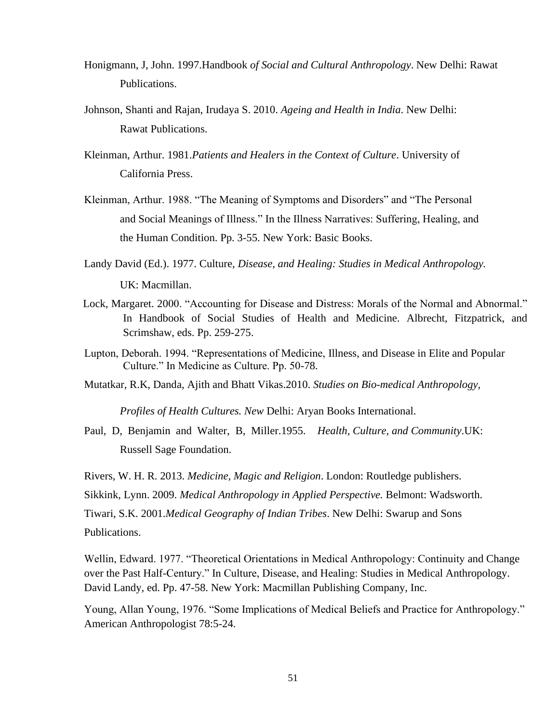- Honigmann, J, John. 1997.Handbook *of Social and Cultural Anthropology*. New Delhi: Rawat Publications.
- Johnson, Shanti and Rajan, Irudaya S. 2010. *Ageing and Health in India*. New Delhi: Rawat Publications.
- Kleinman, Arthur. 1981.*Patients and Healers in the Context of Culture*. University of California Press.
- Kleinman, Arthur. 1988. "The Meaning of Symptoms and Disorders" and "The Personal and Social Meanings of Illness." In the Illness Narratives: Suffering, Healing, and the Human Condition. Pp. 3-55. New York: Basic Books.
- Landy [David \(](https://www.amazon.com/s/ref%3Ddp_byline_sr_book_1?ie=UTF8&field-author=David%2BLandy&text=David%2BLandy&sort=relevancerank&search-alias=books)Ed.). 1977. Culture*, Disease, and Healing: Studies in Medical Anthropology.* UK: Macmillan.
- Lock, Margaret. 2000. "Accounting for Disease and Distress: Morals of the Normal and Abnormal." In Handbook of Social Studies of Health and Medicine. Albrecht, Fitzpatrick, and Scrimshaw, eds. Pp. 259-275.
- Lupton, Deborah. 1994. "Representations of Medicine, Illness, and Disease in Elite and Popular Culture." In Medicine as Culture. Pp. 50-78.
- Mutatkar, R.K, Danda, Ajith and Bhatt Vikas.2010. *Studies on Bio-medical Anthropology,*

*Profiles of Health Cultures. New* Delhi: Aryan Books International.

Paul, D, Benjamin and [Walter, B, Miller.1](https://www.amazon.com/s/ref%3Ddp_byline_sr_book_2?ie=UTF8&field-author=Walter%2BB.%2BMiller&text=Walter%2BB.%2BMiller&sort=relevancerank&search-alias=books)955. *Health, Culture, and Community*.UK: Russell Sage Foundation.

Rivers, W. H. R. 2013. *Medicine, Magic and Religion*. London: Routledge publishers.

Sikkink, Lynn. 2009. *Medical Anthropology in Applied Perspective.* Belmont: Wadsworth.

Tiwari, S.K. 2001.*Medical Geography of Indian Tribes*. New Delhi: Swarup and Sons

Publications.

Wellin, Edward. 1977. "Theoretical Orientations in Medical Anthropology: Continuity and Change over the Past Half-Century." In Culture, Disease, and Healing: Studies in Medical Anthropology. David Landy, ed. Pp. 47-58. New York: Macmillan Publishing Company, Inc.

Young, Allan Young, 1976. "Some Implications of Medical Beliefs and Practice for Anthropology." American Anthropologist 78:5-24.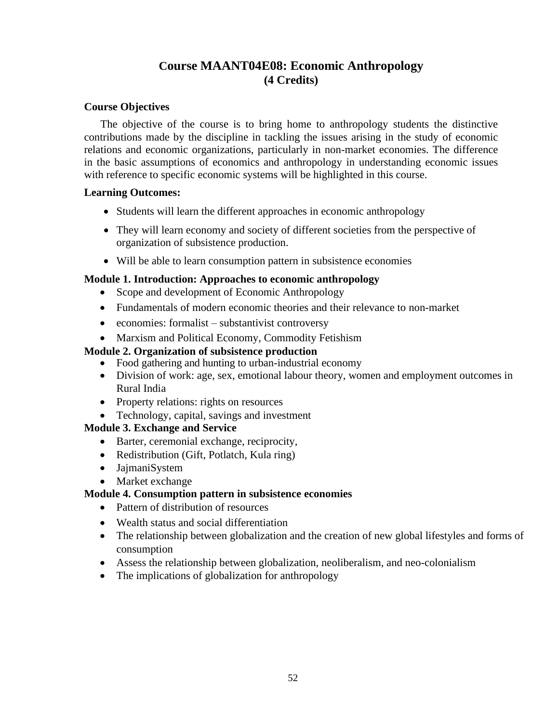## **Course MAANT04E08: Economic Anthropology (4 Credits)**

## **Course Objectives**

The objective of the course is to bring home to anthropology students the distinctive contributions made by the discipline in tackling the issues arising in the study of economic relations and economic organizations, particularly in non-market economies. The difference in the basic assumptions of economics and anthropology in understanding economic issues with reference to specific economic systems will be highlighted in this course.

## **Learning Outcomes:**

- Students will learn the different approaches in economic anthropology
- They will learn economy and society of different societies from the perspective of organization of subsistence production.
- Will be able to learn consumption pattern in subsistence economies

## **Module 1. Introduction: Approaches to economic anthropology**

- Scope and development of Economic Anthropology
- Fundamentals of modern economic theories and their relevance to non-market
- economies: formalist substantivist controversy
- Marxism and Political Economy, Commodity Fetishism

## **Module 2. Organization of subsistence production**

- Food gathering and hunting to urban-industrial economy
- Division of work: age, sex, emotional labour theory, women and employment outcomes in Rural India
- Property relations: rights on resources
- Technology, capital, savings and investment

## **Module 3. Exchange and Service**

- Barter, ceremonial exchange, reciprocity,
- Redistribution (Gift, Potlatch, Kula ring)
- JajmaniSystem
- Market exchange

## **Module 4. Consumption pattern in subsistence economies**

- Pattern of distribution of resources
- Wealth status and social differentiation
- The relationship between globalization and the creation of new global lifestyles and forms of consumption
- Assess the relationship between globalization, neoliberalism, and neo-colonialism
- The implications of globalization for anthropology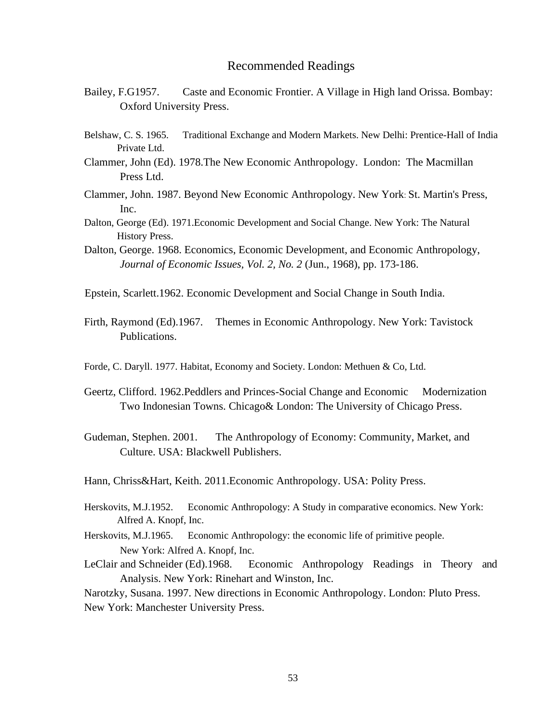- Bailey, F.G1957. Caste and Economic Frontier. A Village in High land Orissa. Bombay: Oxford University Press.
- Belshaw, C. S. 1965. Traditional Exchange and Modern Markets. New Delhi: Prentice-Hall of India Private Ltd.
- Clammer, John (Ed). 1978.The New Economic Anthropology. London: The Macmillan Press Ltd.
- Clammer, John. 1987. Beyond New Economic Anthropology. New York: St. Martin's Press, Inc.
- Dalton, George (Ed). 1971.Economic Development and Social Change. New York: The Natural History Press.
- Dalton, George. 1968. Economics, Economic Development, and Economic Anthropology, *Journal of Economic Issues, Vol. 2, No. 2* (Jun., 1968), pp. 173-186.
- Epstein, Scarlett.1962. Economic Development and Social Change in South India.
- Firth, Raymond (Ed).1967. Themes in Economic Anthropology. New York: Tavistock Publications.
- Forde, C. Daryll. 1977. Habitat, Economy and Society. London: Methuen & Co, Ltd.
- Geertz, Clifford. 1962. Peddlers and Princes-Social Change and Economic Modernization Two Indonesian Towns. Chicago& London: The University of Chicago Press.
- Gudeman, Stephen. 2001. The Anthropology of Economy: Community, Market, and Culture. USA: Blackwell Publishers.
- Hann, Chriss&Hart, Keith. 2011.Economic Anthropology. USA: Polity Press.
- Herskovits, M.J.1952. Economic Anthropology: A Study in comparative economics. New York: Alfred A. Knopf, Inc.
- Herskovits, M.J.1965. Economic Anthropology: the economic life of primitive people. New York: Alfred A. Knopf, Inc.
- LeClair and Schneider (Ed).1968. Economic Anthropology Readings in Theory and Analysis. New York: Rinehart and Winston, Inc.

Narotzky, Susana. 1997. New directions in Economic Anthropology. London: Pluto Press. New York: Manchester University Press.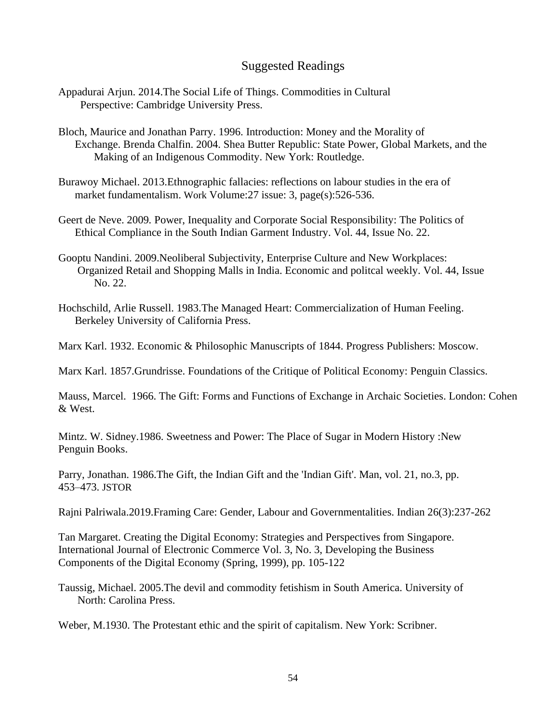## Suggested Readings

- Appadurai Arjun. 2014.The Social Life of Things. Commodities in Cultural Perspective: Cambridge University Press.
- Bloch, Maurice and Jonathan Parry. 1996. Introduction: Money and the Morality of Exchange. Brenda Chalfin. 2004. Shea Butter Republic: State Power, Global Markets, and the Making of an Indigenous Commodity. New York: Routledge.
- [Burawoy](https://journals.sagepub.com/action/doSearch?target=default&ContribAuthorStored=Burawoy%2C+Michael) Michael. 2013.Ethnographic fallacies: reflections on labour studies in the era of market fundamentalism. Work [Volume:27 issue: 3, p](https://journals.sagepub.com/toc/wes/27/3)age(s):526-536.
- [Geert de Neve.](https://www.epw.in/author/geert-de-neve) 2009*.* Power, Inequality and Corporate Social Responsibility: The Politics of Ethical Compliance in the South Indian Garment Industry. Vol. 44, Issue No. 22.
- Gooptu Nandini. 2009.Neoliberal Subjectivity, Enterprise Culture and New Workplaces: Organized Retail and Shopping Malls in India. Economic and politcal weekly. Vol. 44, Issue No. 22.
- Hochschild, Arlie Russell. 1983[.The Managed Heart: Commercialization of Human Feeling.](https://en.wikipedia.org/wiki/The_Managed_Heart:_the_Commercialization_of_Human_Feeling) Berkeley University of California Press.

Marx Karl. 1932. Economic & Philosophic Manuscripts of 1844. Progress Publishers: Moscow.

Marx Karl. 1857.Grundrisse. Foundations of the Critique of Political Economy: Penguin Classics.

Mauss, Marcel. 1966. The Gift: Forms and Functions of Exchange in Archaic Societies. London: Cohen & West.

Mintz. W. Sidney.1986. Sweetness and Power: The [Place of Sugar in Modern History](https://www.amazon.com/Sweetness-Power-Place-Modern-History/dp/0140092331/ref=sr_1_1?dchild=1&qid=1610093576&refinements=p_27%3ASidney+W.+Mintz&s=books&sr=1-1&text=Sidney+W.+Mintz) :New Penguin Books.

Parry, Jonathan. 1986.The Gift, the Indian Gift and the 'Indian Gift'. Man, vol. 21, no.3, pp. 453–473. JSTOR

[Rajni Palriwala.](https://journals.sagepub.com/action/doSearch?target=default&ContribAuthorStored=Palriwala%2C+Rajni)2019.Framing Care: Gender, Labour and Governmentalities. Indian 26(3):237-262

Tan Margaret. Creating the Digital Economy: Strategies and Perspectives from Singapore. International Journal of Electronic Commerce Vol. 3, No. 3, Developing the Business Components of the Digital Economy (Spring, 1999), pp. 105-122

Taussig, Michael. 2005.The devil and commodity fetishism in South America. University of North: Carolina Press.

Weber, M.1930. The Protestant ethic and the spirit of capitalism. New York: Scribner.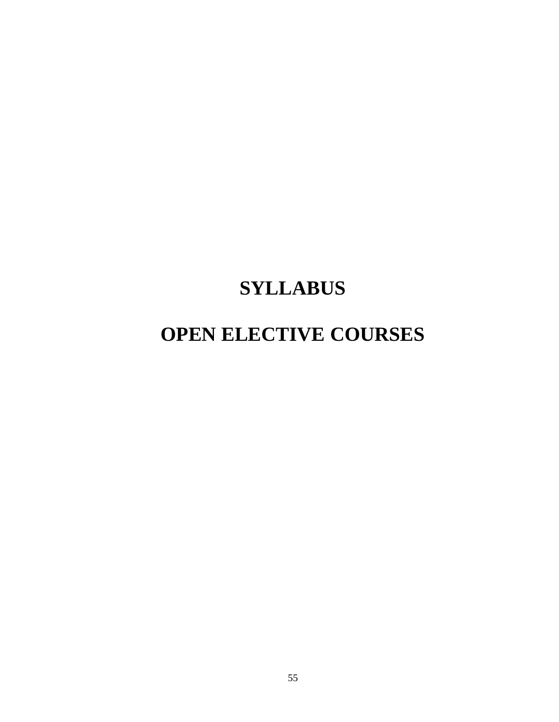## **SYLLABUS**

## **OPEN ELECTIVE COURSES**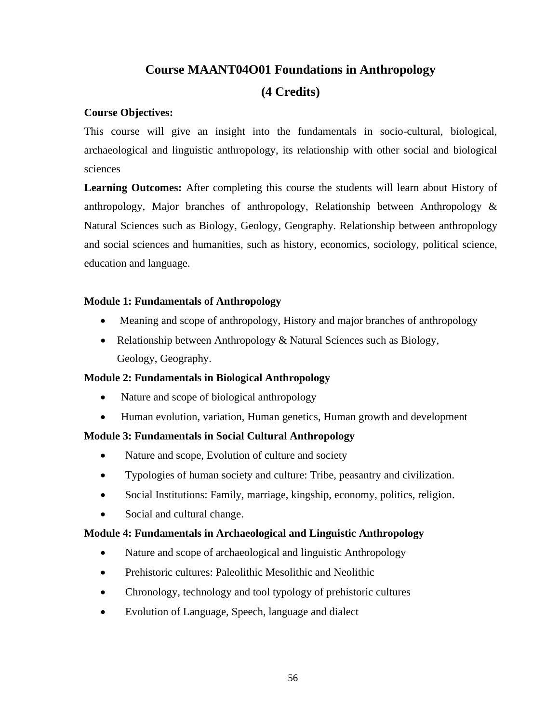## **Course MAANT04O01 Foundations in Anthropology**

## **(4 Credits)**

## **Course Objectives:**

This course will give an insight into the fundamentals in socio-cultural, biological, archaeological and linguistic anthropology, its relationship with other social and biological sciences

**Learning Outcomes:** After completing this course the students will learn about History of anthropology, Major branches of anthropology, Relationship between Anthropology & Natural Sciences such as Biology, Geology, Geography. Relationship between anthropology and social sciences and humanities, such as history, economics, sociology, political science, education and language.

## **Module 1: Fundamentals of Anthropology**

- Meaning and scope of anthropology, History and major branches of anthropology
- Relationship between Anthropology & Natural Sciences such as Biology, Geology, Geography.

## **Module 2: Fundamentals in Biological Anthropology**

- Nature and scope of biological anthropology
- Human evolution, variation, Human genetics, Human growth and development

## **Module 3: Fundamentals in Social Cultural Anthropology**

- Nature and scope, Evolution of culture and society
- Typologies of human society and culture: Tribe, peasantry and civilization.
- Social Institutions: Family, marriage, kingship, economy, politics, religion.
- Social and cultural change.

## **Module 4: Fundamentals in Archaeological and Linguistic Anthropology**

- Nature and scope of archaeological and linguistic Anthropology
- Prehistoric cultures: Paleolithic Mesolithic and Neolithic
- Chronology, technology and tool typology of prehistoric cultures
- Evolution of Language, Speech, language and dialect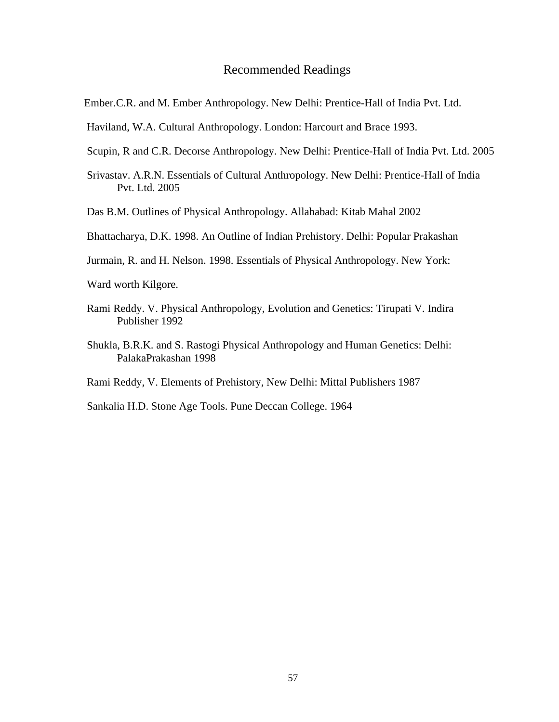- Ember.C.R. and M. Ember Anthropology. New Delhi: Prentice-Hall of India Pvt. Ltd.
- Haviland, W.A. Cultural Anthropology. London: Harcourt and Brace 1993.
- Scupin, R and C.R. Decorse Anthropology. New Delhi: Prentice-Hall of India Pvt. Ltd. 2005
- Srivastav. A.R.N. Essentials of Cultural Anthropology. New Delhi: Prentice-Hall of India Pvt. Ltd. 2005
- Das B.M. Outlines of Physical Anthropology. Allahabad: Kitab Mahal 2002
- Bhattacharya, D.K. 1998. An Outline of Indian Prehistory. Delhi: Popular Prakashan
- Jurmain, R. and H. Nelson. 1998. Essentials of Physical Anthropology. New York:

Ward worth Kilgore.

- Rami Reddy. V. Physical Anthropology, Evolution and Genetics: Tirupati V. Indira Publisher 1992
- Shukla, B.R.K. and S. Rastogi Physical Anthropology and Human Genetics: Delhi: PalakaPrakashan 1998

Rami Reddy, V. Elements of Prehistory, New Delhi: Mittal Publishers 1987

Sankalia H.D. Stone Age Tools. Pune Deccan College. 1964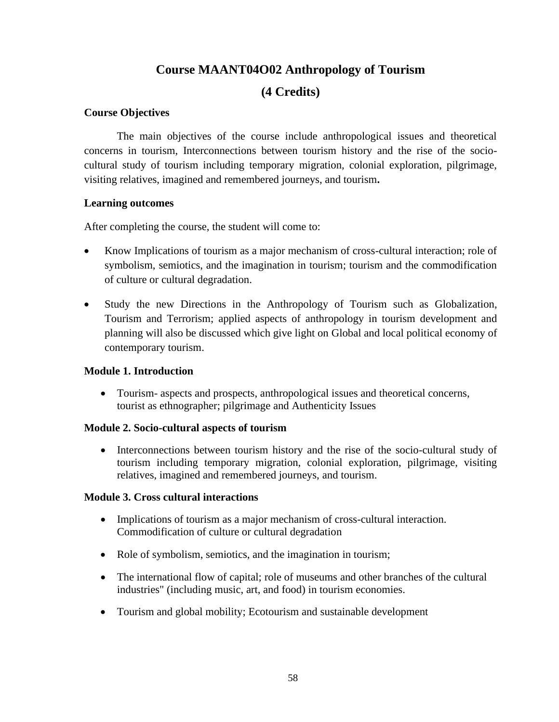## **Course MAANT04O02 Anthropology of Tourism**

## **(4 Credits)**

## **Course Objectives**

The main objectives of the course include anthropological issues and theoretical concerns in tourism, Interconnections between tourism history and the rise of the sociocultural study of tourism including temporary migration, colonial exploration, pilgrimage, visiting relatives, imagined and remembered journeys, and tourism**.**

## **Learning outcomes**

After completing the course, the student will come to:

- Know Implications of tourism as a major mechanism of cross-cultural interaction; role of symbolism, semiotics, and the imagination in tourism; tourism and the commodification of culture or cultural degradation.
- Study the new Directions in the Anthropology of Tourism such as Globalization, Tourism and Terrorism; applied aspects of anthropology in tourism development and planning will also be discussed which give light on Global and local political economy of contemporary tourism.

## **Module 1. Introduction**

• Tourism- aspects and prospects, anthropological issues and theoretical concerns, tourist as ethnographer; pilgrimage and Authenticity Issues

## **Module 2. Socio-cultural aspects of tourism**

• Interconnections between tourism history and the rise of the socio-cultural study of tourism including temporary migration, colonial exploration, pilgrimage, visiting relatives, imagined and remembered journeys, and tourism.

## **Module 3. Cross cultural interactions**

- Implications of tourism as a major mechanism of cross-cultural interaction. Commodification of culture or cultural degradation
- Role of symbolism, semiotics, and the imagination in tourism;
- The international flow of capital; role of museums and other branches of the cultural industries" (including music, art, and food) in tourism economies.
- Tourism and global mobility; Ecotourism and sustainable development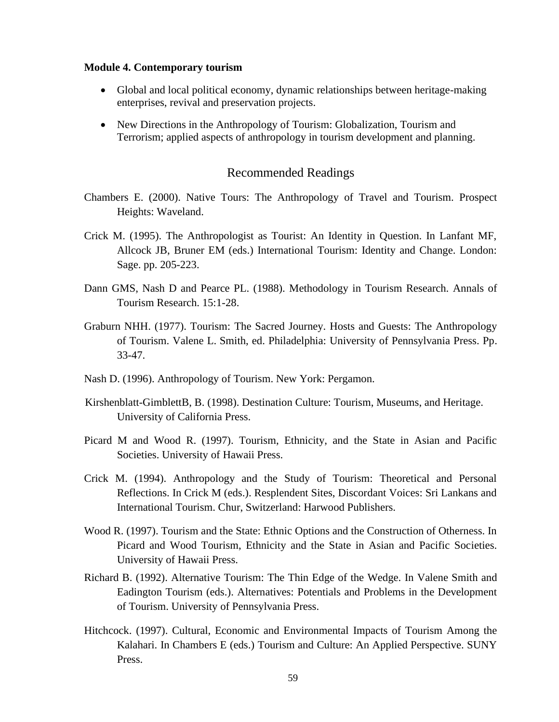#### **Module 4. Contemporary tourism**

- Global and local political economy, dynamic relationships between heritage-making enterprises, revival and preservation projects.
- New Directions in the Anthropology of Tourism: Globalization, Tourism and Terrorism; applied aspects of anthropology in tourism development and planning.

#### Recommended Readings

- Chambers E. (2000). Native Tours: The Anthropology of Travel and Tourism. Prospect Heights: Waveland.
- Crick M. (1995). The Anthropologist as Tourist: An Identity in Question. In Lanfant MF, Allcock JB, Bruner EM (eds.) International Tourism: Identity and Change. London: Sage. pp. 205-223.
- Dann GMS, Nash D and Pearce PL. (1988). Methodology in Tourism Research. Annals of Tourism Research. 15:1-28.
- Graburn NHH. (1977). Tourism: The Sacred Journey. Hosts and Guests: The Anthropology of Tourism. Valene L. Smith, ed. Philadelphia: University of Pennsylvania Press. Pp. 33-47.
- Nash D. (1996). Anthropology of Tourism. New York: Pergamon.
- Kirshenblatt-GimblettB, B. (1998). Destination Culture: Tourism, Museums, and Heritage. University of California Press.
- Picard M and Wood R. (1997). Tourism, Ethnicity, and the State in Asian and Pacific Societies. University of Hawaii Press.
- Crick M. (1994). Anthropology and the Study of Tourism: Theoretical and Personal Reflections. In Crick M (eds.). Resplendent Sites, Discordant Voices: Sri Lankans and International Tourism. Chur, Switzerland: Harwood Publishers.
- Wood R. (1997). Tourism and the State: Ethnic Options and the Construction of Otherness. In Picard and Wood Tourism, Ethnicity and the State in Asian and Pacific Societies. University of Hawaii Press.
- Richard B. (1992). Alternative Tourism: The Thin Edge of the Wedge. In Valene Smith and Eadington Tourism (eds.). Alternatives: Potentials and Problems in the Development of Tourism. University of Pennsylvania Press.
- Hitchcock. (1997). Cultural, Economic and Environmental Impacts of Tourism Among the Kalahari. In Chambers E (eds.) Tourism and Culture: An Applied Perspective. SUNY Press.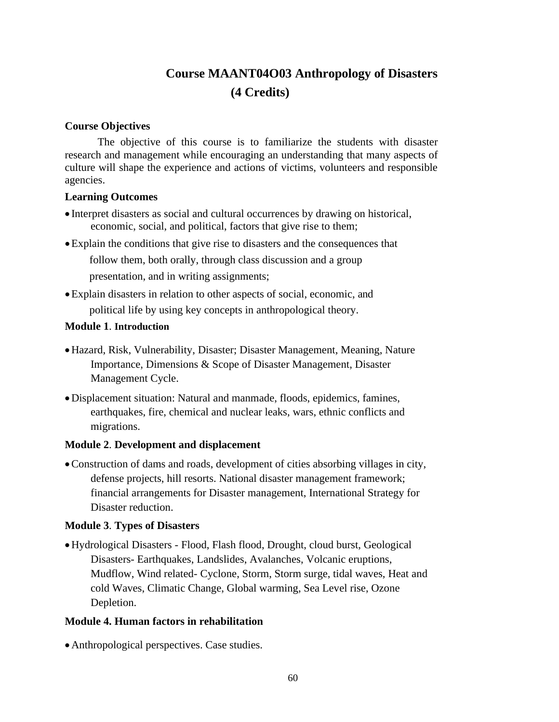## **Course MAANT04O03 Anthropology of Disasters (4 Credits)**

## **Course Objectives**

The objective of this course is to familiarize the students with disaster research and management while encouraging an understanding that many aspects of culture will shape the experience and actions of victims, volunteers and responsible agencies.

## **Learning Outcomes**

- Interpret disasters as social and cultural occurrences by drawing on historical, economic, social, and political, factors that give rise to them;
- •Explain the conditions that give rise to disasters and the consequences that

follow them, both orally, through class discussion and a group presentation, and in writing assignments;

•Explain disasters in relation to other aspects of social, economic, and political life by using key concepts in anthropological theory.

## **Module 1**. **Introduction**

- •Hazard, Risk, Vulnerability, Disaster; Disaster Management, Meaning, Nature Importance, Dimensions & Scope of Disaster Management, Disaster Management Cycle.
- •Displacement situation: Natural and manmade, floods, epidemics, famines, earthquakes, fire, chemical and nuclear leaks, wars, ethnic conflicts and migrations.

## **Module 2**. **Development and displacement**

•Construction of dams and roads, development of cities absorbing villages in city, defense projects, hill resorts. National disaster management framework; financial arrangements for Disaster management, International Strategy for Disaster reduction.

## **Module 3**. **Types of Disasters**

•Hydrological Disasters - Flood, Flash flood, Drought, cloud burst, Geological Disasters- Earthquakes, Landslides, Avalanches, Volcanic eruptions, Mudflow, Wind related- Cyclone, Storm, Storm surge, tidal waves, Heat and cold Waves, Climatic Change, Global warming, Sea Level rise, Ozone Depletion.

## **Module 4. Human factors in rehabilitation**

• Anthropological perspectives. Case studies.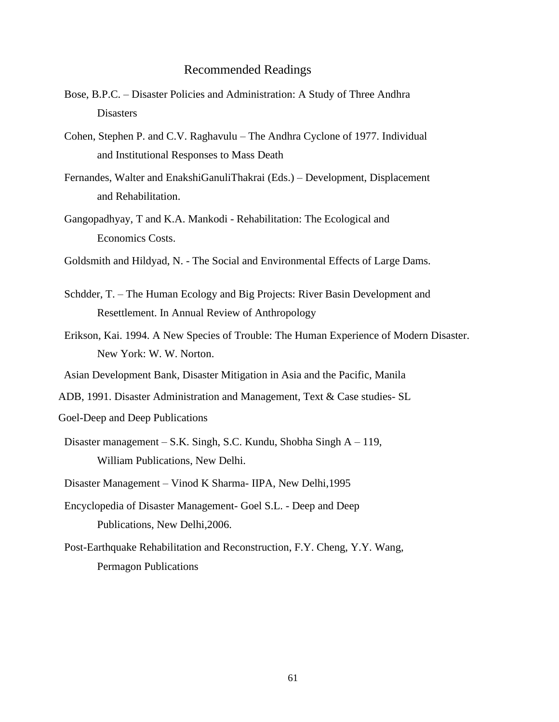- Bose, B.P.C. Disaster Policies and Administration: A Study of Three Andhra Disasters
- Cohen, Stephen P. and C.V. Raghavulu The Andhra Cyclone of 1977. Individual and Institutional Responses to Mass Death
- Fernandes, Walter and EnakshiGanuliThakrai (Eds.) Development, Displacement and Rehabilitation.
- Gangopadhyay, T and K.A. Mankodi Rehabilitation: The Ecological and Economics Costs.
- Goldsmith and Hildyad, N. The Social and Environmental Effects of Large Dams.
- Schdder, T. The Human Ecology and Big Projects: River Basin Development and Resettlement. In Annual Review of Anthropology
- Erikson, Kai. 1994. A New Species of Trouble: The Human Experience of Modern Disaster. New York: W. W. Norton.
- Asian Development Bank, Disaster Mitigation in Asia and the Pacific, Manila
- ADB, 1991. Disaster Administration and Management, Text & Case studies- SL
- Goel-Deep and Deep Publications
- Disaster management S.K. Singh, S.C. Kundu, Shobha Singh A 119, William Publications, New Delhi.
- Disaster Management Vinod K Sharma- IIPA, New Delhi,1995
- Encyclopedia of Disaster Management- Goel S.L. Deep and Deep Publications, New Delhi,2006.
- Post-Earthquake Rehabilitation and Reconstruction, F.Y. Cheng, Y.Y. Wang, Permagon Publications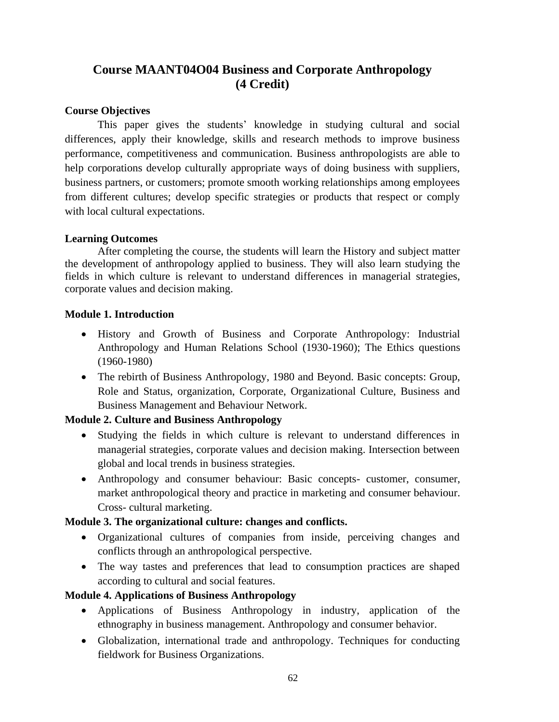## **Course MAANT04O04 Business and Corporate Anthropology (4 Credit)**

## **Course Objectives**

This paper gives the students' knowledge in studying cultural and social differences, apply their knowledge, skills and research methods to improve business performance, competitiveness and communication. Business anthropologists are able to help corporations develop culturally appropriate ways of doing business with suppliers, business partners, or customers; promote smooth working relationships among employees from different cultures; develop specific strategies or products that respect or comply with local cultural expectations.

## **Learning Outcomes**

After completing the course, the students will learn the History and subject matter the development of anthropology applied to business. They will also learn studying the fields in which culture is relevant to understand differences in managerial strategies, corporate values and decision making.

## **Module 1. Introduction**

- History and Growth of Business and Corporate Anthropology: Industrial Anthropology and Human Relations School (1930-1960); The Ethics questions (1960-1980)
- The rebirth of Business Anthropology, 1980 and Beyond. Basic concepts: Group, Role and Status, organization, Corporate, Organizational Culture, Business and Business Management and Behaviour Network.

## **Module 2. Culture and Business Anthropology**

- Studying the fields in which culture is relevant to understand differences in managerial strategies, corporate values and decision making. Intersection between global and local trends in business strategies.
- Anthropology and consumer behaviour: Basic concepts- customer, consumer, market anthropological theory and practice in marketing and consumer behaviour. Cross- cultural marketing.

## **Module 3. The organizational culture: changes and conflicts.**

- Organizational cultures of companies from inside, perceiving changes and conflicts through an anthropological perspective.
- The way tastes and preferences that lead to consumption practices are shaped according to cultural and social features.

## **Module 4. Applications of Business Anthropology**

- Applications of Business Anthropology in industry, application of the ethnography in business management. Anthropology and consumer behavior.
- Globalization, international trade and anthropology. Techniques for conducting fieldwork for Business Organizations.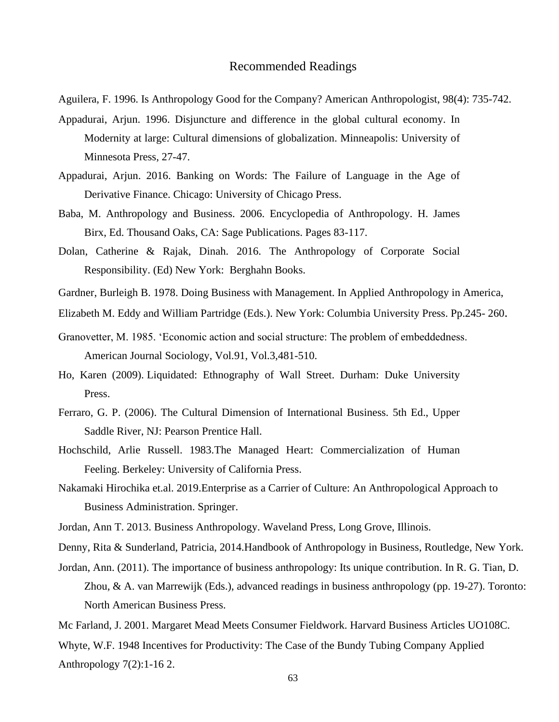- Aguilera, F. 1996. Is Anthropology Good for the Company? American Anthropologist, 98(4): 735-742.
- Appadurai, Arjun. 1996. Disjuncture and difference in the global cultural economy. In Modernity at large: Cultural dimensions of globalization. Minneapolis: University of Minnesota Press, 27-47.
- Appadurai, Arjun. 2016. Banking on Words: The Failure of Language in the Age of Derivative Finance. Chicago: University of Chicago Press.
- Baba, M. Anthropology and Business. 2006. Encyclopedia of Anthropology. H. James Birx, Ed. Thousand Oaks, CA: Sage Publications. Pages 83-117.
- Dolan, Catherine & Rajak, Dinah. 2016. The Anthropology of Corporate Social Responsibility. (Ed) New York: Berghahn Books.
- Gardner, Burleigh B. 1978. Doing Business with Management. In Applied Anthropology in America,
- Elizabeth M. Eddy and William Partridge (Eds.). New York: Columbia University Press. Pp.245- 260.
- Granovetter, M. 1985. 'Economic action and social structure: The problem of embeddedness. American Journal Sociology, Vol.91, Vol.3,481-510.
- Ho, Karen (2009). Liquidated: Ethnography of Wall Street. Durham: Duke University Press.
- Ferraro, G. P. (2006). The Cultural Dimension of International Business. 5th Ed., Upper Saddle River, NJ: Pearson Prentice Hall.
- Hochschild, Arlie Russell. 1983[.The Managed Heart: Commercialization of Human](https://en.wikipedia.org/wiki/The_Managed_Heart:_the_Commercialization_of_Human_Feeling)  [Feeling.](https://en.wikipedia.org/wiki/The_Managed_Heart:_the_Commercialization_of_Human_Feeling) Berkeley: University of California Press.
- Nakamaki [Hirochika e](https://1lib.in/g/Hirochika%20Nakamaki)t.al. 2019.Enterprise as a Carrier of Culture: An Anthropological Approach to Business Administration. Springer.
- Jordan, Ann T. 2013. Business Anthropology. Waveland Press, Long Grove, Illinois.
- Denny, Rita & Sunderland, Patricia, 2014.Handbook of Anthropology in Business, Routledge, New York.
- Jordan, Ann. (2011). The importance of business anthropology: Its unique contribution. In R. G. Tian, D. Zhou, & A. van Marrewijk (Eds.), advanced readings in business anthropology (pp. 19-27). Toronto: North American Business Press.

Mc Farland, J. 2001. Margaret Mead Meets Consumer Fieldwork. Harvard Business Articles UO108C. Whyte, W.F. 1948 Incentives for Productivity: The Case of the Bundy Tubing Company Applied Anthropology 7(2):1-16 2.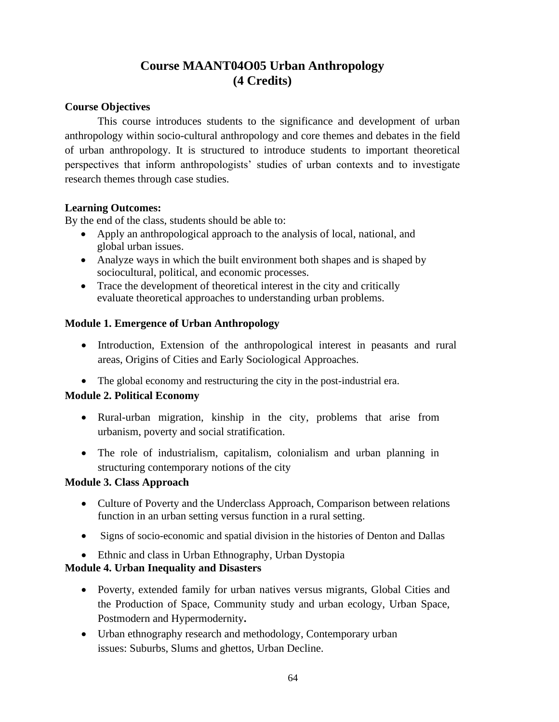## **Course MAANT04O05 Urban Anthropology (4 Credits)**

## **Course Objectives**

This course introduces students to the significance and development of urban anthropology within socio-cultural anthropology and core themes and debates in the field of urban anthropology. It is structured to introduce students to important theoretical perspectives that inform anthropologists' studies of urban contexts and to investigate research themes through case studies.

## **Learning Outcomes:**

By the end of the class, students should be able to:

- Apply an anthropological approach to the analysis of local, national, and global urban issues.
- Analyze ways in which the built environment both shapes and is shaped by sociocultural, political, and economic processes.
- Trace the development of theoretical interest in the city and critically evaluate theoretical approaches to understanding urban problems.

## **Module 1. Emergence of Urban Anthropology**

- Introduction, Extension of the anthropological interest in peasants and rural areas, Origins of Cities and Early Sociological Approaches.
- The global economy and restructuring the city in the post-industrial era.

## **Module 2. Political Economy**

- Rural-urban migration, kinship in the city, problems that arise from urbanism, poverty and social stratification.
- The role of industrialism, capitalism, colonialism and urban planning in structuring contemporary notions of the city

## **Module 3. Class Approach**

- Culture of Poverty and the Underclass Approach, Comparison between relations function in an urban setting versus function in a rural setting.
- Signs of socio-economic and spatial division in the histories of Denton and Dallas
- Ethnic and class in Urban Ethnography, Urban Dystopia

## **Module 4. Urban Inequality and Disasters**

- Poverty, extended family for urban natives versus migrants, Global Cities and the Production of Space, Community study and urban ecology, Urban Space, Postmodern and Hypermodernity**.**
- Urban ethnography research and methodology, Contemporary urban issues: Suburbs, Slums and ghettos, Urban Decline.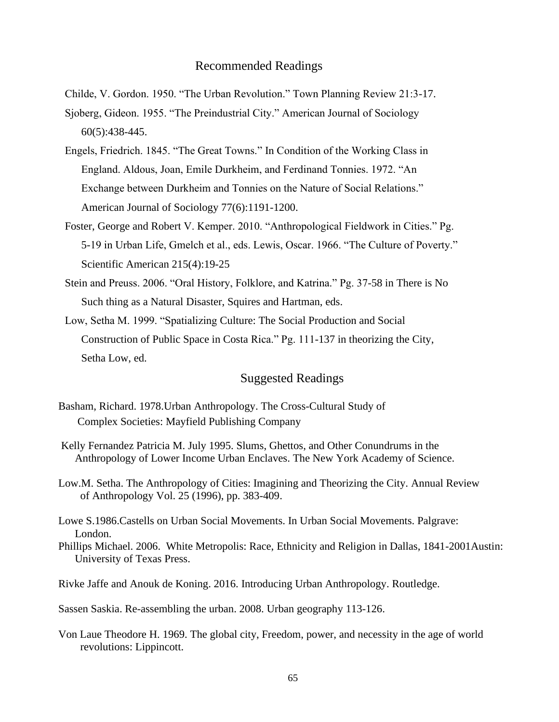Childe, V. Gordon. 1950. "The Urban Revolution." Town Planning Review 21:3-17.

- Sjoberg, Gideon. 1955. "The Preindustrial City." American Journal of Sociology 60(5):438-445.
- Engels, Friedrich. 1845. "The Great Towns." In Condition of the Working Class in England. Aldous, Joan, Emile Durkheim, and Ferdinand Tonnies. 1972. "An Exchange between Durkheim and Tonnies on the Nature of Social Relations." American Journal of Sociology 77(6):1191-1200.
- Foster, George and Robert V. Kemper. 2010. "Anthropological Fieldwork in Cities." Pg. 5-19 in Urban Life, Gmelch et al., eds. Lewis, Oscar. 1966. "The Culture of Poverty." Scientific American 215(4):19-25
- Stein and Preuss. 2006. "Oral History, Folklore, and Katrina." Pg. 37-58 in There is No Such thing as a Natural Disaster, Squires and Hartman, eds.
- Low, Setha M. 1999. "Spatializing Culture: The Social Production and Social Construction of Public Space in Costa Rica." Pg. 111-137 in theorizing the City, Setha Low, ed.

## Suggested Readings

- Basham, Richard. 1978.Urban Anthropology. The Cross-Cultural Study of Complex Societies: Mayfield Publishing Company
- [Kelly](https://nyaspubs.onlinelibrary.wiley.com/action/doSearch?ContribAuthorStored=KELLY%2C+M+PATRICIA+FERN%C3%81NDEZ) Fernandez Patricia M. July 1995. Slums, Ghettos, and Other Conundrums in the Anthropology of Lower Income Urban Enclaves. The New York Academy of Science.
- Low.M. Setha. The Anthropology of Cities: Imagining and Theorizing the City. Annual Review of Anthropology Vol. 25 (1996), pp. 383-409.
- Lowe S.1986.Castells on Urban Social Movements. In Urban Social Movements. Palgrave: London.
- Phillips Michael. 2006. White Metropolis: Race, Ethnicity and Religion in Dallas, 1841-2001Austin: University of Texas Press.

Rivke Jaffe and Anouk de Koning. 2016. Introducing Urban Anthropology. Routledge.

Sassen Saskia. [Re-assembling the urban. 2008. Urban](https://www.google.com/url?sa=t&rct=j&q=&esrc=s&source=web&cd=&ved=2ahUKEwiR_Y2Gg43uAhXQT30KHZBNAuQQFjAAegQIBBAC&url=http%3A%2F%2Fsaskiasassen.com%2FPDFs%2Fpublications%2FRe-Assembling-the-Urban.pdf&usg=AOvVaw2vEY8VOwfoGTvgwylNEDab) geography 113-126.

[Von Laue](https://www.amazon.com/s/ref=dp_byline_sr_book_1?ie=UTF8&field-author=Theodore+H+Von+Laue&text=Theodore+H+Von+Laue&sort=relevancerank&search-alias=books) Theodore H. 1969. The global city, Freedom, power, and necessity in the age of world revolutions: Lippincott.